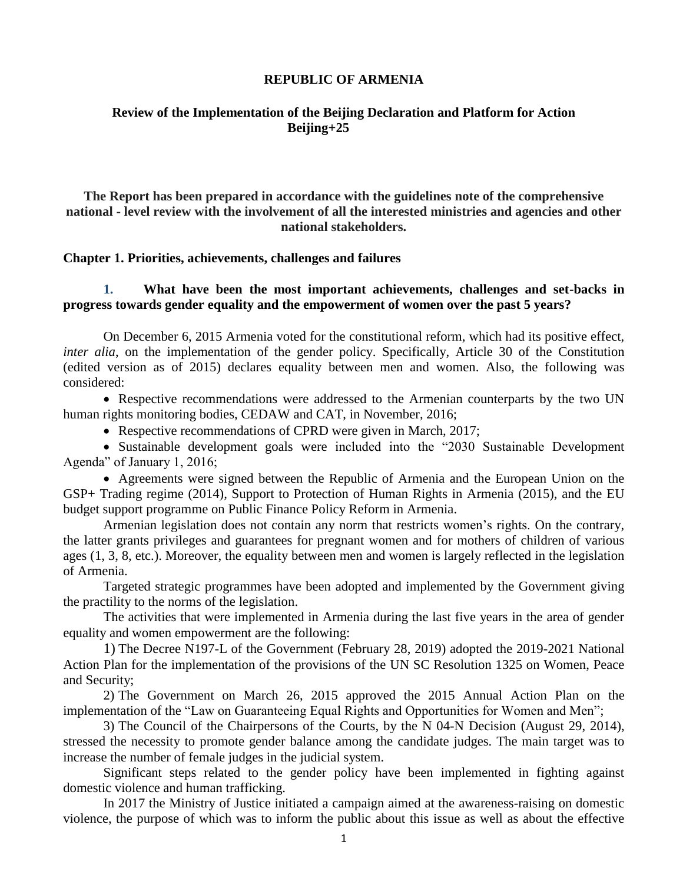#### **REPUBLIC OF ARMENIA**

#### **Review of the Implementation of the Beijing Declaration and Platform for Action Beijing+25**

**The Report has been prepared in accordance with the guidelines note of the comprehensive national - level review with the involvement of all the interested ministries and agencies and other national stakeholders.**

**Chapter 1. Priorities, achievements, challenges and failures**

**1. What have been the most important achievements, challenges and set-backs in progress towards gender equality and the empowerment of women over the past 5 years?** 

On December 6, 2015 Armenia voted for the constitutional reform, which had its positive effect, *inter alia*, on the implementation of the gender policy. Specifically, Article 30 of the Constitution (edited version as of 2015) declares equality between men and women. Also, the following was considered:

• Respective recommendations were addressed to the Armenian counterparts by the two UN human rights monitoring bodies, CEDAW and CAT, in November, 2016;

• Respective recommendations of CPRD were given in March, 2017;

• Sustainable development goals were included into the "2030 Sustainable Development Agenda" of January 1, 2016;

• Agreements were signed between the Republic of Armenia and the European Union on the GSP+ Trading regime (2014), Support to Protection of Human Rights in Armenia (2015), and the EU budget support programme on Public Finance Policy Reform in Armenia.

Armenian legislation does not contain any norm that restricts women's rights. On the contrary, the latter grants privileges and guarantees for pregnant women and for mothers of children of various ages (1, 3, 8, etc.). Moreover, the equality between men and women is largely reflected in the legislation of Armenia.

Targeted strategic programmes have been adopted and implemented by the Government giving the practility to the norms of the legislation.

The activities that were implemented in Armenia during the last five years in the area of gender equality and women empowerment are the following:

1) The Decree N197-L of the Government (February 28, 2019) adopted the 2019-2021 National Action Plan for the implementation of the provisions of the UN SC Resolution 1325 on Women, Peace and Security;

2) The Government on March 26, 2015 approved the 2015 Annual Action Plan on the implementation of the "Law on Guaranteeing Equal Rights and Opportunities for Women and Men";

3) The Council of the Chairpersons of the Courts, by the N 04-N Decision (August 29, 2014), stressed the necessity to promote gender balance among the candidate judges. The main target was to increase the number of female judges in the judicial system.

Significant steps related to the gender policy have been implemented in fighting against domestic violence and human trafficking.

In 2017 the Ministry of Justice initiated a campaign aimed at the awareness-raising on domestic violence, the purpose of which was to inform the public about this issue as well as about the effective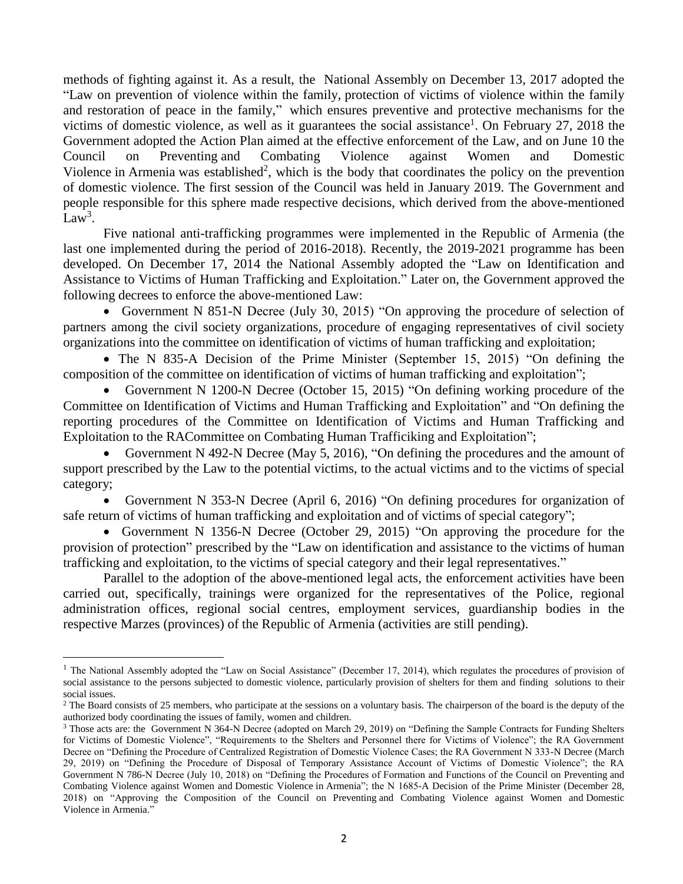methods of fighting against it. As a result, the National Assembly on December 13, 2017 adopted the "Law on prevention of violence within the family, protection of victims of violence within the family and restoration of peace in the family," which ensures preventive and protective mechanisms for the victims of domestic violence, as well as it guarantees the social assistance<sup>1</sup>. On February 27, 2018 the Government adopted the Action Plan aimed at the effective enforcement of the Law, and on June 10 the Council on Preventing and Combating Violence against Women and Domestic Violence in Armenia was established<sup>2</sup>, which is the body that coordinates the policy on the prevention of domestic violence. The first session of the Council was held in January 2019. The Government and people responsible for this sphere made respective decisions, which derived from the above-mentioned  $Law<sup>3</sup>$ .

Five national anti-trafficking programmes were implemented in the Republic of Armenia (the last one implemented during the period of 2016-2018). Recently, the 2019-2021 programme has been developed. On December 17, 2014 the National Assembly adopted the "Law on Identification and Assistance to Victims of Human Trafficking and Exploitation." Later on, the Government approved the following decrees to enforce the above-mentioned Law:

• Government N 851-N Decree (July 30, 2015) "On approving the procedure of selection of partners among the civil society organizations, procedure of engaging representatives of civil society organizations into the committee on identification of victims of human trafficking and exploitation;

• The N 835-A Decision of the Prime Minister (September 15, 2015) "On defining the composition of the committee on identification of victims of human trafficking and exploitation";

• Government N 1200-N Decree (October 15, 2015) "On defining working procedure of the Committee on Identification of Victims and Human Trafficking and Exploitation" and "On defining the reporting procedures of the Committee on Identification of Victims and Human Trafficking and Exploitation to the RACommittee on Combating Human Trafficiking and Exploitation";

• Government N 492-N Decree (May 5, 2016), "On defining the procedures and the amount of support prescribed by the Law to the potential victims, to the actual victims and to the victims of special category;

• Government N 353-N Decree (April 6, 2016) "On defining procedures for organization of safe return of victims of human trafficking and exploitation and of victims of special category";

• Government N 1356-N Decree (October 29, 2015) "On approving the procedure for the provision of protection" prescribed by the "Law on identification and assistance to the victims of human trafficking and exploitation, to the victims of special category and their legal representatives."

Parallel to the adoption of the above-mentioned legal acts, the enforcement activities have been carried out, specifically, trainings were organized for the representatives of the Police, regional administration offices, regional social centres, employment services, guardianship bodies in the respective Marzes (provinces) of the Republic of Armenia (activities are still pending).

<sup>&</sup>lt;sup>1</sup> The National Assembly adopted the "Law on Social Assistance" (December 17, 2014), which regulates the procedures of provision of social assistance to the persons subjected to domestic violence, particularly provision of shelters for them and finding solutions to their social issues.

<sup>&</sup>lt;sup>2</sup> The Board consists of 25 members, who participate at the sessions on a voluntary basis. The chairperson of the board is the deputy of the authorized body coordinating the issues of family, women and children.

<sup>3</sup> Those acts are: the Government N 364-N Decree (adopted on March 29, 2019) on "Defining the Sample Contracts for Funding Shelters for Victims of Domestic Violence", "Requirements to the Shelters and Personnel there for Victims of Violence"; the RA Government Decree on "Defining the Procedure of Centralized Registration of Domestic Violence Cases; the RA Government N 333-N Decree (March 29, 2019) on "Defining the Procedure of Disposal of Temporary Assistance Account of Victims of Domestic Violence"; the RA Government N 786-N Decree (July 10, 2018) on "Defining the Procedures of Formation and Functions of the Council on Preventing and Combating Violence against Women and Domestic Violence in Armenia"; the N 1685-A Decision of the Prime Minister (December 28, 2018) on "Approving the Composition of the Council on Preventing and Combating Violence against Women and Domestic Violence in Armenia."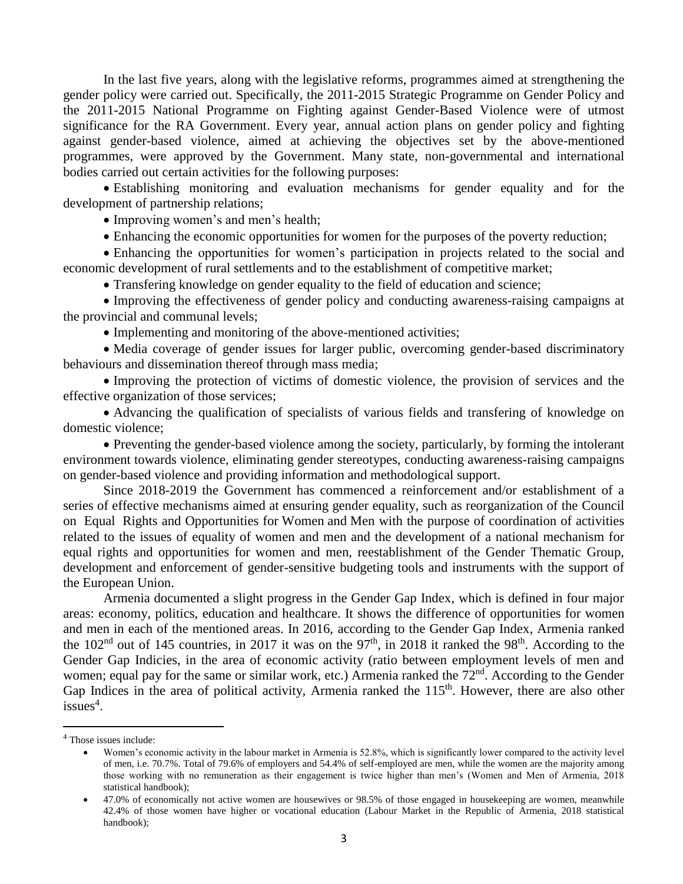In the last five years, along with the legislative reforms, programmes aimed at strengthening the gender policy were carried out. Specifically, the 2011-2015 Strategic Programme on Gender Policy and the 2011-2015 National Programme on Fighting against Gender-Based Violence were of utmost significance for the RA Government. Every year, annual action plans on gender policy and fighting against gender-based violence, aimed at achieving the objectives set by the above-mentioned programmes, were approved by the Government. Many state, non-governmental and international bodies carried out certain activities for the following purposes:

• Establishing monitoring and evaluation mechanisms for gender equality and for the development of partnership relations;

• Improving women's and men's health;

• Enhancing the economic opportunities for women for the purposes of the poverty reduction;

• Enhancing the opportunities for women's participation in projects related to the social and economic development of rural settlements and to the establishment of competitive market;

• Transfering knowledge on gender equality to the field of education and science;

• Improving the effectiveness of gender policy and conducting awareness-raising campaigns at the provincial and communal levels;

• Implementing and monitoring of the above-mentioned activities;

• Media coverage of gender issues for larger public, overcoming gender-based discriminatory behaviours and dissemination thereof through mass media;

• Improving the protection of victims of domestic violence, the provision of services and the effective organization of those services;

• Advancing the qualification of specialists of various fields and transfering of knowledge on domestic violence;

• Preventing the gender-based violence among the society, particularly, by forming the intolerant environment towards violence, eliminating gender stereotypes, conducting awareness-raising campaigns on gender-based violence and providing information and methodological support.

Since 2018-2019 the Government has commenced a reinforcement and/or establishment of a series of effective mechanisms aimed at ensuring gender equality, such as reorganization of the Council on Equal Rights and Opportunities for Women and Men with the purpose of coordination of activities related to the issues of equality of women and men and the development of a national mechanism for equal rights and opportunities for women and men, reestablishment of the Gender Thematic Group, development and enforcement of gender-sensitive budgeting tools and instruments with the support of the European Union.

Armenia documented a slight progress in the Gender Gap Index, which is defined in four major areas: economy, politics, education and healthcare. It shows the difference of opportunities for women and men in each of the mentioned areas. In 2016, according to the Gender Gap Index, Armenia ranked the  $102<sup>nd</sup>$  out of 145 countries, in 2017 it was on the 97<sup>th</sup>, in 2018 it ranked the 98<sup>th</sup>. According to the Gender Gap Indicies, in the area of economic activity (ratio between employment levels of men and women; equal pay for the same or similar work, etc.) Armenia ranked the 72<sup>nd</sup>. According to the Gender Gap Indices in the area of political activity, Armenia ranked the  $115<sup>th</sup>$ . However, there are also other issues<sup>4</sup>.

<sup>4</sup> Those issues include:

<sup>•</sup> Women's economic activity in the labour market in Armenia is 52.8%, which is significantly lower compared to the activity level of men, i.e. 70.7%. Total of 79.6% of employers and 54.4% of self-employed are men, while the women are the majority among those working with no remuneration as their engagement is twice higher than men's (Women and Men of Armenia, 2018 statistical handbook);

<sup>•</sup> 47.0% of economically not active women are housewives or 98.5% of those engaged in housekeeping are women, meanwhile 42.4% of those women have higher or vocational education (Labour Market in the Republic of Armenia, 2018 statistical handbook);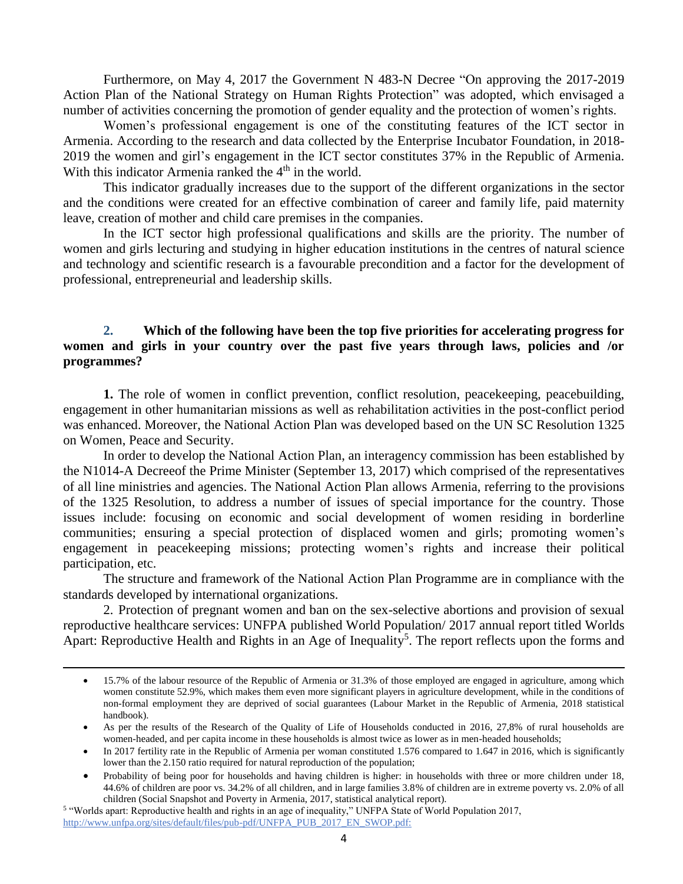Furthermore, on May 4, 2017 the Government N 483-N Decree "On approving the 2017-2019 Action Plan of the National Strategy on Human Rights Protection" was adopted, which envisaged a number of activities concerning the promotion of gender equality and the protection of women's rights.

Women's professional engagement is one of the constituting features of the ICT sector in Armenia. According to the research and data collected by the Enterprise Incubator Foundation, in 2018- 2019 the women and girl's engagement in the ICT sector constitutes 37% in the Republic of Armenia. With this indicator Armenia ranked the 4<sup>th</sup> in the world.

This indicator gradually increases due to the support of the different organizations in the sector and the conditions were created for an effective combination of career and family life, paid maternity leave, creation of mother and child care premises in the companies.

In the ICT sector high professional qualifications and skills are the priority. The number of women and girls lecturing and studying in higher education institutions in the centres of natural science and technology and scientific research is a favourable precondition and a factor for the development of professional, entrepreneurial and leadership skills.

## **2. Which of the following have been the top five priorities for accelerating progress for women and girls in your country over the past five years through laws, policies and /or programmes?**

**1.** The role of women in conflict prevention, conflict resolution, peacekeeping, peacebuilding, engagement in other humanitarian missions as well as rehabilitation activities in the post-conflict period was enhanced. Moreover, the National Action Plan was developed based on the UN SC Resolution 1325 on Women, Peace and Security.

In order to develop the National Action Plan, an interagency commission has been established by the N1014-A Decreeof the Prime Minister (September 13, 2017) which comprised of the representatives of all line ministries and agencies. The National Action Plan allows Armenia, referring to the provisions of the 1325 Resolution, to address a number of issues of special importance for the country. Those issues include: focusing on economic and social development of women residing in borderline communities; ensuring a special protection of displaced women and girls; promoting women's engagement in peacekeeping missions; protecting women's rights and increase their political participation, etc.

The structure and framework of the National Action Plan Programme are in compliance with the standards developed by international organizations.

2. Protection of pregnant women and ban on the sex-selective abortions and provision of sexual reproductive healthcare services: UNFPA published World Population/ 2017 annual report titled Worlds Apart: Reproductive Health and Rights in an Age of Inequality<sup>5</sup>. The report reflects upon the forms and

<sup>•</sup> 15.7% of the labour resource of the Republic of Armenia or 31.3% of those employed are engaged in agriculture, among which women constitute 52.9%, which makes them even more significant players in agriculture development, while in the conditions of non-formal employment they are deprived of social guarantees (Labour Market in the Republic of Armenia, 2018 statistical handbook).

<sup>•</sup> As per the results of the Research of the Quality of Life of Households conducted in 2016, 27,8% of rural households are women-headed, and per capita income in these households is almost twice as lower as in men-headed households;

<sup>•</sup> In 2017 fertility rate in the Republic of Armenia per woman constituted 1.576 compared to 1.647 in 2016, which is significantly lower than the 2.150 ratio required for natural reproduction of the population;

<sup>•</sup> Probability of being poor for households and having children is higher: in households with three or more children under 18, 44.6% of children are poor vs. 34.2% of all children, and in large families 3.8% of children are in extreme poverty vs. 2.0% of all children (Social Snapshot and Poverty in Armenia, 2017, statistical analytical report).

<sup>5</sup> "Worlds apart: Reproductive health and rights in an age of inequality," UNFPA State of World Population 2017, [http://www.unfpa.org/sites/default/files/pub-pdf/UNFPA\\_PUB\\_2017\\_EN\\_SWOP.pdf:](http://www.unfpa.org/sites/default/files/pub-pdf/UNFPA_PUB_2017_EN_SWOP.pdf)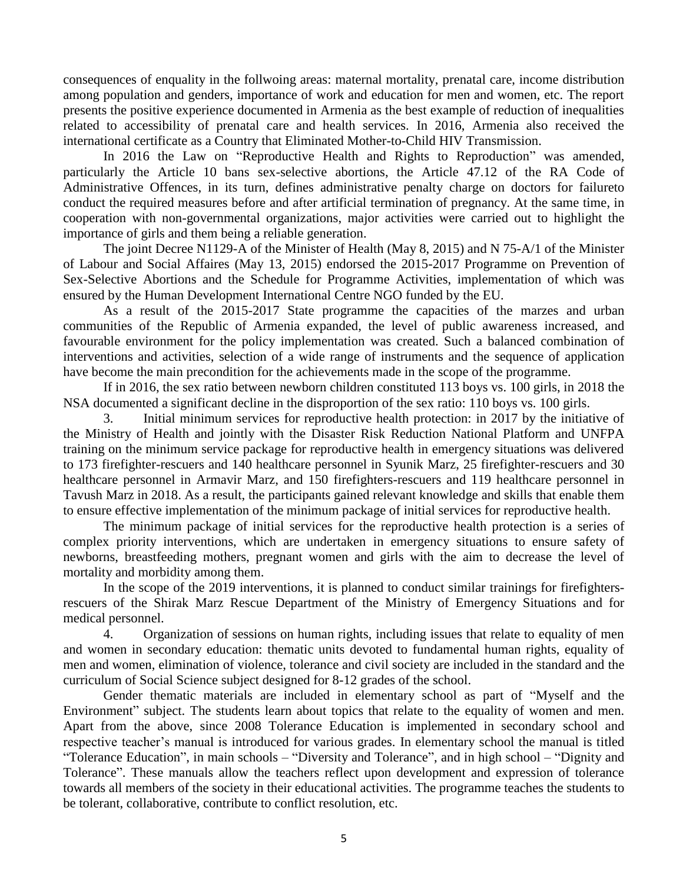consequences of enquality in the follwoing areas: maternal mortality, prenatal care, income distribution among population and genders, importance of work and education for men and women, etc. The report presents the positive experience documented in Armenia as the best example of reduction of inequalities related to accessibility of prenatal care and health services. In 2016, Armenia also received the international certificate as a Country that Eliminated Mother-to-Child HIV Transmission.

In 2016 the Law on "Reproductive Health and Rights to Reproduction" was amended, particularly the Article 10 bans sex-selective abortions, the Article 47.12 of the RA Code of Administrative Offences, in its turn, defines administrative penalty charge on doctors for failureto conduct the required measures before and after artificial termination of pregnancy. At the same time, in cooperation with non-governmental organizations, major activities were carried out to highlight the importance of girls and them being a reliable generation.

The joint Decree N1129-A of the Minister of Health (May 8, 2015) and N 75-A/1 of the Minister of Labour and Social Affaires (May 13, 2015) endorsed the 2015-2017 Programme on Prevention of Sex-Selective Abortions and the Schedule for Programme Activities, implementation of which was ensured by the Human Development International Centre NGO funded by the EU.

As a result of the 2015-2017 State programme the capacities of the marzes and urban communities of the Republic of Armenia expanded, the level of public awareness increased, and favourable environment for the policy implementation was created. Such a balanced combination of interventions and activities, selection of a wide range of instruments and the sequence of application have become the main precondition for the achievements made in the scope of the programme.

If in 2016, the sex ratio between newborn children constituted 113 boys vs. 100 girls, in 2018 the NSA documented a significant decline in the disproportion of the sex ratio: 110 boys vs. 100 girls.

3. Initial minimum services for reproductive health protection: in 2017 by the initiative of the Ministry of Health and jointly with the Disaster Risk Reduction National Platform and UNFPA training on the minimum service package for reproductive health in emergency situations was delivered to 173 firefighter-rescuers and 140 healthcare personnel in Syunik Marz, 25 firefighter-rescuers and 30 healthcare personnel in Armavir Marz, and 150 firefighters-rescuers and 119 healthcare personnel in Tavush Marz in 2018. As a result, the participants gained relevant knowledge and skills that enable them to ensure effective implementation of the minimum package of initial services for reproductive health.

The minimum package of initial services for the reproductive health protection is a series of complex priority interventions, which are undertaken in emergency situations to ensure safety of newborns, breastfeeding mothers, pregnant women and girls with the aim to decrease the level of mortality and morbidity among them.

In the scope of the 2019 interventions, it is planned to conduct similar trainings for firefightersrescuers of the Shirak Marz Rescue Department of the Ministry of Emergency Situations and for medical personnel.

4. Organization of sessions on human rights, including issues that relate to equality of men and women in secondary education: thematic units devoted to fundamental human rights, equality of men and women, elimination of violence, tolerance and civil society are included in the standard and the curriculum of Social Science subject designed for 8-12 grades of the school.

Gender thematic materials are included in elementary school as part of "Myself and the Environment" subject. The students learn about topics that relate to the equality of women and men. Apart from the above, since 2008 Tolerance Education is implemented in secondary school and respective teacher's manual is introduced for various grades. In elementary school the manual is titled "Tolerance Education", in main schools – "Diversity and Tolerance", and in high school – "Dignity and Tolerance". These manuals allow the teachers reflect upon development and expression of tolerance towards all members of the society in their educational activities. The programme teaches the students to be tolerant, collaborative, contribute to conflict resolution, etc.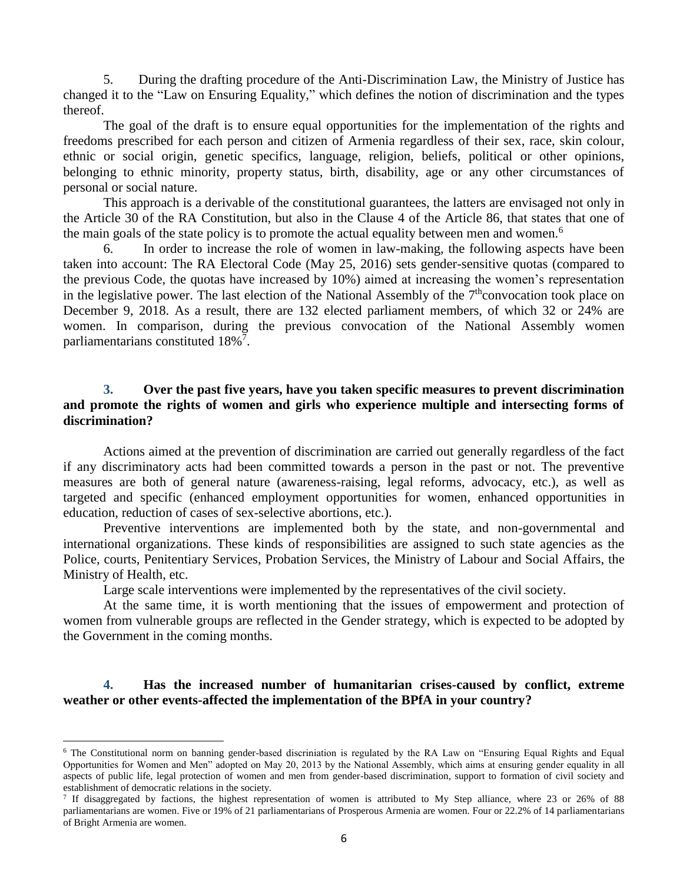5. During the drafting procedure of the Anti-Discrimination Law, the Ministry of Justice has changed it to the "Law on Ensuring Equality," which defines the notion of discrimination and the types thereof.

The goal of the draft is to ensure equal opportunities for the implementation of the rights and freedoms prescribed for each person and citizen of Armenia regardless of their sex, race, skin colour, ethnic or social origin, genetic specifics, language, religion, beliefs, political or other opinions, belonging to ethnic minority, property status, birth, disability, age or any other circumstances of personal or social nature.

This approach is a derivable of the constitutional guarantees, the latters are envisaged not only in the Article 30 of the RA Constitution, but also in the Clause 4 of the Article 86, that states that one of the main goals of the state policy is to promote the actual equality between men and women.<sup>6</sup>

6. In order to increase the role of women in law-making, the following aspects have been taken into account: The RA Electoral Code (May 25, 2016) sets gender-sensitive quotas (compared to the previous Code, the quotas have increased by 10%) aimed at increasing the women's representation in the legislative power. The last election of the National Assembly of the  $7<sup>th</sup>$ convocation took place on December 9, 2018. As a result, there are 132 elected parliament members, of which 32 or 24% are women. In comparison, during the previous convocation of the National Assembly women parliamentarians constituted 18%<sup>7</sup>.

### **3. Over the past five years, have you taken specific measures to prevent discrimination and promote the rights of women and girls who experience multiple and intersecting forms of discrimination?**

Actions aimed at the prevention of discrimination are carried out generally regardless of the fact if any discriminatory acts had been committed towards a person in the past or not. The preventive measures are both of general nature (awareness-raising, legal reforms, advocacy, etc.), as well as targeted and specific (enhanced employment opportunities for women, enhanced opportunities in education, reduction of cases of sex-selective abortions, etc.).

Preventive interventions are implemented both by the state, and non-governmental and international organizations. These kinds of responsibilities are assigned to such state agencies as the Police, courts, Penitentiary Services, Probation Services, the Ministry of Labour and Social Affairs, the Ministry of Health, etc.

Large scale interventions were implemented by the representatives of the civil society.

At the same time, it is worth mentioning that the issues of empowerment and protection of women from vulnerable groups are reflected in the Gender strategy, which is expected to be adopted by the Government in the coming months.

### **4. Has the increased number of humanitarian crises-caused by conflict, extreme weather or other events-affected the implementation of the BPfA in your country?**

<sup>&</sup>lt;sup>6</sup> The Constitutional norm on banning gender-based discriniation is regulated by the RA Law on "Ensuring Equal Rights and Equal Opportunities for Women and Men" adopted on May 20, 2013 by the National Assembly, which aims at ensuring gender equality in all aspects of public life, legal protection of women and men from gender-based discrimination, support to formation of civil society and establishment of democratic relations in the society.

<sup>&</sup>lt;sup>7</sup> If disaggregated by factions, the highest representation of women is attributed to My Step alliance, where 23 or 26% of 88 parliamentarians are women. Five or 19% of 21 parliamentarians of Prosperous Armenia are women. Four or 22.2% of 14 parliamentarians of Bright Armenia are women.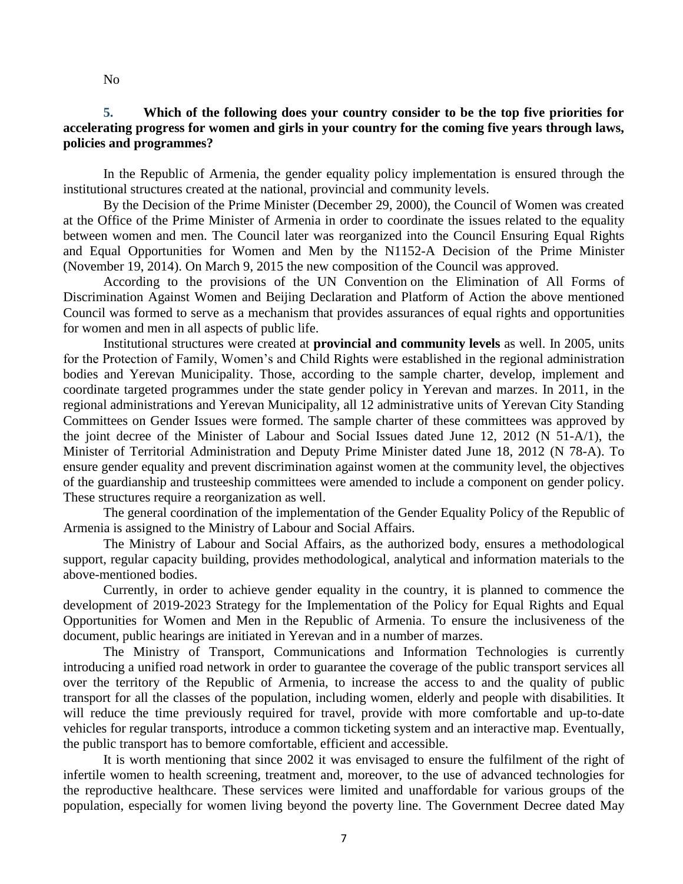No

### **5. Which of the following does your country consider to be the top five priorities for accelerating progress for women and girls in your country for the coming five years through laws, policies and programmes?**

In the Republic of Armenia, the gender equality policy implementation is ensured through the institutional structures created at the national, provincial and community levels.

By the Decision of the Prime Minister (December 29, 2000), the Council of Women was created at the Office of the Prime Minister of Armenia in order to coordinate the issues related to the equality between women and men. The Council later was reorganized into the Council Ensuring Equal Rights and Equal Opportunities for Women and Men by the N1152-A Decision of the Prime Minister (November 19, 2014). On March 9, 2015 the new composition of the Council was approved.

According to the provisions of the UN Convention on the Elimination of All Forms of Discrimination Against Women and Beijing Declaration and Platform of Action the above mentioned Council was formed to serve as a mechanism that provides assurances of equal rights and opportunities for women and men in all aspects of public life.

Institutional structures were created at **provincial and community levels** as well. In 2005, units for the Protection of Family, Women's and Child Rights were established in the regional administration bodies and Yerevan Municipality. Those, according to the sample charter, develop, implement and coordinate targeted programmes under the state gender policy in Yerevan and marzes. In 2011, in the regional administrations and Yerevan Municipality, all 12 administrative units of Yerevan City Standing Committees on Gender Issues were formed. The sample charter of these committees was approved by the joint decree of the Minister of Labour and Social Issues dated June 12, 2012 (N 51-A/1), the Minister of Territorial Administration and Deputy Prime Minister dated June 18, 2012 (N 78-A). To ensure gender equality and prevent discrimination against women at the community level, the objectives of the guardianship and trusteeship committees were amended to include a component on gender policy. These structures require a reorganization as well.

The general coordination of the implementation of the Gender Equality Policy of the Republic of Armenia is assigned to the Ministry of Labour and Social Affairs.

The Ministry of Labour and Social Affairs, as the authorized body, ensures a methodological support, regular capacity building, provides methodological, analytical and information materials to the above-mentioned bodies.

Currently, in order to achieve gender equality in the country, it is planned to commence the development of 2019-2023 Strategy for the Implementation of the Policy for Equal Rights and Equal Opportunities for Women and Men in the Republic of Armenia. To ensure the inclusiveness of the document, public hearings are initiated in Yerevan and in a number of marzes.

The Ministry of Transport, Communications and Information Technologies is currently introducing a unified road network in order to guarantee the coverage of the public transport services all over the territory of the Republic of Armenia, to increase the access to and the quality of public transport for all the classes of the population, including women, elderly and people with disabilities. It will reduce the time previously required for travel, provide with more comfortable and up-to-date vehicles for regular transports, introduce a common ticketing system and an interactive map. Eventually, the public transport has to bemore comfortable, efficient and accessible.

It is worth mentioning that since 2002 it was envisaged to ensure the fulfilment of the right of infertile women to health screening, treatment and, moreover, to the use of advanced technologies for the reproductive healthcare. These services were limited and unaffordable for various groups of the population, especially for women living beyond the poverty line. The Government Decree dated May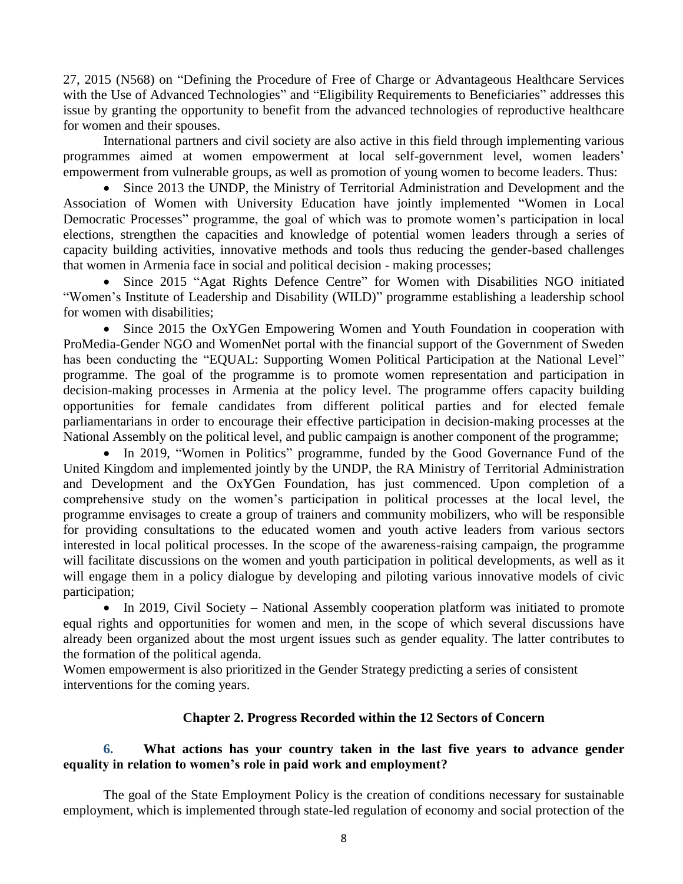27, 2015 (N568) on "Defining the Procedure of Free of Charge or Advantageous Healthcare Services with the Use of Advanced Technologies" and "Eligibility Requirements to Beneficiaries" addresses this issue by granting the opportunity to benefit from the advanced technologies of reproductive healthcare for women and their spouses.

International partners and civil society are also active in this field through implementing various programmes aimed at women empowerment at local self-government level, women leaders' empowerment from vulnerable groups, as well as promotion of young women to become leaders. Thus:

• Since 2013 the UNDP, the Ministry of Territorial Administration and Development and the Association of Women with University Education have jointly implemented "Women in Local Democratic Processes" programme, the goal of which was to promote women's participation in local elections, strengthen the capacities and knowledge of potential women leaders through a series of capacity building activities, innovative methods and tools thus reducing the gender-based challenges that women in Armenia face in social and political decision - making processes;

• Since 2015 "Agat Rights Defence Centre" for Women with Disabilities NGO initiated "Women's Institute of Leadership and Disability (WILD)" programme establishing a leadership school for women with disabilities;

• Since 2015 the OxYGen Empowering Women and Youth Foundation in cooperation with ProMedia-Gender NGO and WomenNet portal with the financial support of the Government of Sweden has been conducting the "EQUAL: Supporting Women Political Participation at the National Level" programme. The goal of the programme is to promote women representation and participation in decision-making processes in Armenia at the policy level. The programme offers capacity building opportunities for female candidates from different political parties and for elected female parliamentarians in order to encourage their effective participation in decision-making processes at the National Assembly on the political level, and public campaign is another component of the programme;

• In 2019, "Women in Politics" programme, funded by the Good Governance Fund of the United Kingdom and implemented jointly by the UNDP, the RA Ministry of Territorial Administration and Development and the OxYGen Foundation, has just commenced. Upon completion of a comprehensive study on the women's participation in political processes at the local level, the programme envisages to create a group of trainers and community mobilizers, who will be responsible for providing consultations to the educated women and youth active leaders from various sectors interested in local political processes. In the scope of the awareness-raising campaign, the programme will facilitate discussions on the women and youth participation in political developments, as well as it will engage them in a policy dialogue by developing and piloting various innovative models of civic participation;

• In 2019, Civil Society – National Assembly cooperation platform was initiated to promote equal rights and opportunities for women and men, in the scope of which several discussions have already been organized about the most urgent issues such as gender equality. The latter contributes to the formation of the political agenda.

Women empowerment is also prioritized in the Gender Strategy predicting a series of consistent interventions for the coming years.

### **Chapter 2. Progress Recorded within the 12 Sectors of Concern**

## **6. What actions has your country taken in the last five years to advance gender equality in relation to women's role in paid work and employment?**

The goal of the State Employment Policy is the creation of conditions necessary for sustainable employment, which is implemented through state-led regulation of economy and social protection of the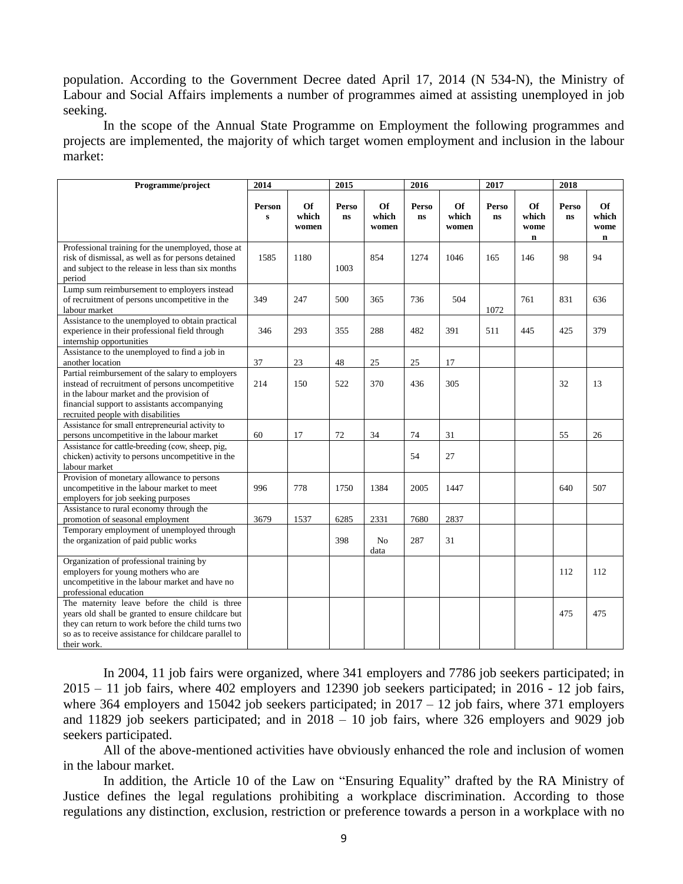population. According to the Government Decree dated April 17, 2014 (N 534-N), the Ministry of Labour and Social Affairs implements a number of programmes aimed at assisting unemployed in job seeking.

In the scope of the Annual State Programme on Employment the following programmes and projects are implemented, the majority of which target women employment and inclusion in the labour market:

| Programme/project                                                                                                                                                                                                                      | 2014                   |                      | 2015                    |                             | 2016               |                      | 2017                    |                                    | 2018               |                                    |
|----------------------------------------------------------------------------------------------------------------------------------------------------------------------------------------------------------------------------------------|------------------------|----------------------|-------------------------|-----------------------------|--------------------|----------------------|-------------------------|------------------------------------|--------------------|------------------------------------|
|                                                                                                                                                                                                                                        | Person<br>$\mathbf{s}$ | Of<br>which<br>women | Perso<br>$\mathbf{n}$ s | <b>Of</b><br>which<br>women | Perso<br><b>ns</b> | Of<br>which<br>women | Perso<br>$\mathbf{n}$ s | Of<br>which<br>wome<br>$\mathbf n$ | Perso<br><b>ns</b> | Of<br>which<br>wome<br>$\mathbf n$ |
| Professional training for the unemployed, those at<br>risk of dismissal, as well as for persons detained<br>and subject to the release in less than six months<br>period                                                               | 1585                   | 1180                 | 1003                    | 854                         | 1274               | 1046                 | 165                     | 146                                | 98                 | 94                                 |
| Lump sum reimbursement to employers instead<br>of recruitment of persons uncompetitive in the<br>labour market                                                                                                                         | 349                    | 247                  | 500                     | 365                         | 736                | 504                  | 1072                    | 761                                | 831                | 636                                |
| Assistance to the unemployed to obtain practical<br>experience in their professional field through<br>internship opportunities                                                                                                         | 346                    | 293                  | 355                     | 288                         | 482                | 391                  | 511                     | 445                                | 425                | 379                                |
| Assistance to the unemployed to find a job in<br>another location                                                                                                                                                                      | 37                     | 23                   | 48                      | 25                          | 25                 | 17                   |                         |                                    |                    |                                    |
| Partial reimbursement of the salary to employers<br>instead of recruitment of persons uncompetitive<br>in the labour market and the provision of<br>financial support to assistants accompanying<br>recruited people with disabilities | 214                    | 150                  | 522                     | 370                         | 436                | 305                  |                         |                                    | 32                 | 13                                 |
| Assistance for small entrepreneurial activity to<br>persons uncompetitive in the labour market                                                                                                                                         | 60                     | 17                   | 72                      | 34                          | 74                 | 31                   |                         |                                    | 55                 | 26                                 |
| Assistance for cattle-breeding (cow, sheep, pig,<br>chicken) activity to persons uncompetitive in the<br>labour market                                                                                                                 |                        |                      |                         |                             | 54                 | 27                   |                         |                                    |                    |                                    |
| Provision of monetary allowance to persons<br>uncompetitive in the labour market to meet<br>employers for job seeking purposes                                                                                                         | 996                    | 778                  | 1750                    | 1384                        | 2005               | 1447                 |                         |                                    | 640                | 507                                |
| Assistance to rural economy through the<br>promotion of seasonal employment                                                                                                                                                            | 3679                   | 1537                 | 6285                    | 2331                        | 7680               | 2837                 |                         |                                    |                    |                                    |
| Temporary employment of unemployed through<br>the organization of paid public works                                                                                                                                                    |                        |                      | 398                     | No<br>data                  | 287                | 31                   |                         |                                    |                    |                                    |
| Organization of professional training by<br>employers for young mothers who are<br>uncompetitive in the labour market and have no<br>professional education                                                                            |                        |                      |                         |                             |                    |                      |                         |                                    | 112                | 112                                |
| The maternity leave before the child is three<br>years old shall be granted to ensure childcare but<br>they can return to work before the child turns two<br>so as to receive assistance for childcare parallel to<br>their work.      |                        |                      |                         |                             |                    |                      |                         |                                    | 475                | 475                                |

In 2004, 11 job fairs were organized, where 341 employers and 7786 job seekers participated; in 2015 – 11 job fairs, where 402 employers and 12390 job seekers participated; in 2016 - 12 job fairs, where 364 employers and 15042 job seekers participated; in  $2017 - 12$  job fairs, where 371 employers and 11829 job seekers participated; and in  $2018 - 10$  job fairs, where 326 employers and 9029 job seekers participated.

All of the above-mentioned activities have obviously enhanced the role and inclusion of women in the labour market.

In addition, the Article 10 of the Law on "Ensuring Equality" drafted by the RA Ministry of Justice defines the legal regulations prohibiting a workplace discrimination. According to those regulations any distinction, exclusion, restriction or preference towards a person in a workplace with no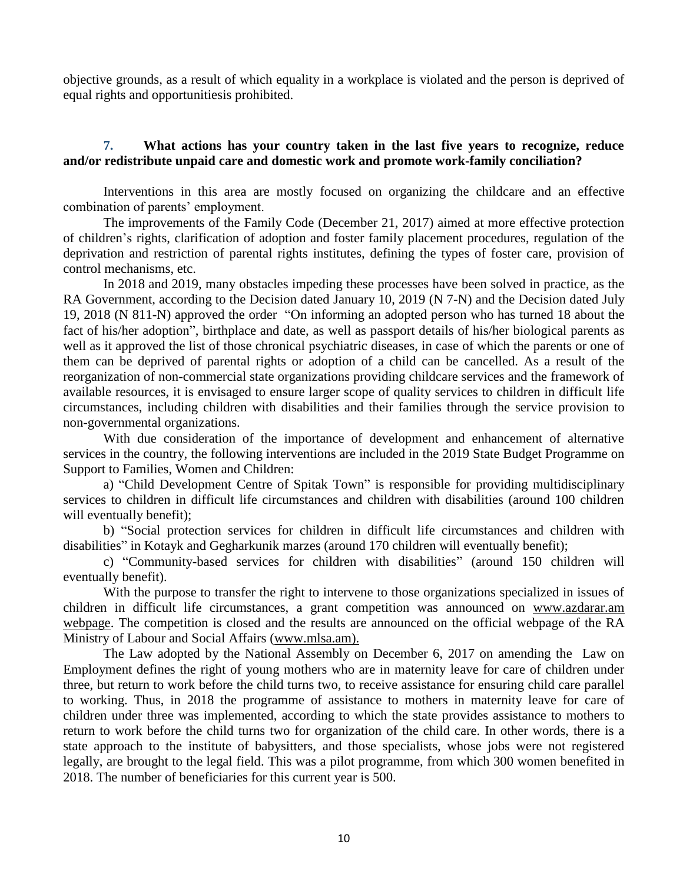objective grounds, as a result of which equality in a workplace is violated and the person is deprived of equal rights and opportunitiesis prohibited.

#### **7. What actions has your country taken in the last five years to recognize, reduce and/or redistribute unpaid care and domestic work and promote work-family conciliation?**

Interventions in this area are mostly focused on organizing the childcare and an effective combination of parents' employment.

The improvements of the Family Code (December 21, 2017) aimed at more effective protection of children's rights, clarification of adoption and foster family placement procedures, regulation of the deprivation and restriction of parental rights institutes, defining the types of foster care, provision of control mechanisms, etc.

In 2018 and 2019, many obstacles impeding these processes have been solved in practice, as the RA Government, according to the Decision dated January 10, 2019 (N 7-N) and the Decision dated July 19, 2018 (N 811-N) approved the order "On informing an adopted person who has turned 18 about the fact of his/her adoption", birthplace and date, as well as passport details of his/her biological parents as well as it approved the list of those chronical psychiatric diseases, in case of which the parents or one of them can be deprived of parental rights or adoption of a child can be cancelled. As a result of the reorganization of non-commercial state organizations providing childcare services and the framework of available resources, it is envisaged to ensure larger scope of quality services to children in difficult life circumstances, including children with disabilities and their families through the service provision to non-governmental organizations.

With due consideration of the importance of development and enhancement of alternative services in the country, the following interventions are included in the 2019 State Budget Programme on Support to Families, Women and Children:

a) "Child Development Centre of Spitak Town" is responsible for providing multidisciplinary services to children in difficult life circumstances and children with disabilities (around 100 children will eventually benefit);

b) "Social protection services for children in difficult life circumstances and children with disabilities" in Kotayk and Gegharkunik marzes (around 170 children will eventually benefit);

c) "Community-based services for children with disabilities" (around 150 children will eventually benefit).

With the purpose to transfer the right to intervene to those organizations specialized in issues of children in difficult life circumstances, a grant competition was announced on [www.azdarar.am](http://www.azdarar.am/) webpage. The competition is closed and the results are announced on the official webpage of the RA Ministry of Labour and Social Affairs [\(www.mlsa.am\)](http://www.mlsa.am/).

The Law adopted by the National Assembly on December 6, 2017 on amending the Law on Employment defines the right of young mothers who are in maternity leave for care of children under three, but return to work before the child turns two, to receive assistance for ensuring child care parallel to working. Thus, in 2018 the programme of assistance to mothers in maternity leave for care of children under three was implemented, according to which the state provides assistance to mothers to return to work before the child turns two for organization of the child care. In other words, there is a state approach to the institute of babysitters, and those specialists, whose jobs were not registered legally, are brought to the legal field. This was a pilot programme, from which 300 women benefited in 2018. The number of beneficiaries for this current year is 500.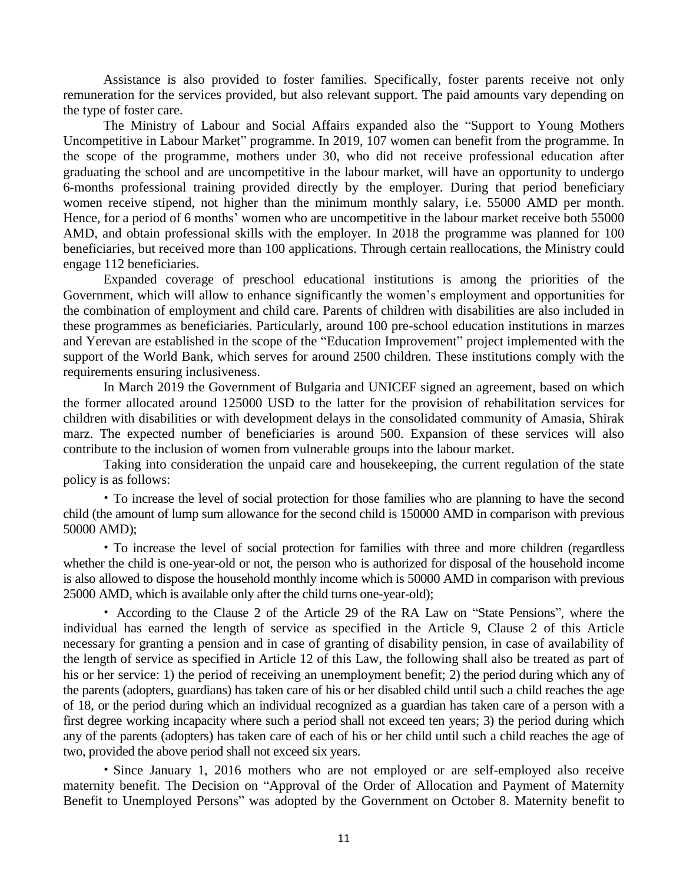Assistance is also provided to foster families. Specifically, foster parents receive not only remuneration for the services provided, but also relevant support. The paid amounts vary depending on the type of foster care.

The Ministry of Labour and Social Affairs expanded also the "Support to Young Mothers Uncompetitive in Labour Market" programme. In 2019, 107 women can benefit from the programme. In the scope of the programme, mothers under 30, who did not receive professional education after graduating the school and are uncompetitive in the labour market, will have an opportunity to undergo 6-months professional training provided directly by the employer. During that period beneficiary women receive stipend, not higher than the minimum monthly salary, i.e. 55000 AMD per month. Hence, for a period of 6 months' women who are uncompetitive in the labour market receive both 55000 AMD, and obtain professional skills with the employer. In 2018 the programme was planned for 100 beneficiaries, but received more than 100 applications. Through certain reallocations, the Ministry could engage 112 beneficiaries.

Expanded coverage of preschool educational institutions is among the priorities of the Government, which will allow to enhance significantly the women's employment and opportunities for the combination of employment and child care. Parents of children with disabilities are also included in these programmes as beneficiaries. Particularly, around 100 pre-school education institutions in marzes and Yerevan are established in the scope of the "Education Improvement" project implemented with the support of the World Bank, which serves for around 2500 children. These institutions comply with the requirements ensuring inclusiveness.

In March 2019 the Government of Bulgaria and UNICEF signed an agreement, based on which the former allocated around 125000 USD to the latter for the provision of rehabilitation services for children with disabilities or with development delays in the consolidated community of Amasia, Shirak marz. The expected number of beneficiaries is around 500. Expansion of these services will also contribute to the inclusion of women from vulnerable groups into the labour market.

Taking into consideration the unpaid care and housekeeping, the current regulation of the state policy is as follows:

• To increase the level of social protection for those families who are planning to have the second child (the amount of lump sum allowance for the second child is 150000 AMD in comparison with previous 50000 AMD);

• To increase the level of social protection for families with three and more children (regardless whether the child is one-year-old or not, the person who is authorized for disposal of the household income is also allowed to dispose the household monthly income which is 50000 AMD in comparison with previous 25000 AMD, which is available only after the child turns one-year-old);

• According to the Clause 2 of the Article 29 of the RA Law on "State Pensions", where the individual has earned the length of service as specified in the Article 9, Clause 2 of this Article necessary for granting a pension and in case of granting of disability pension, in case of availability of the length of service as specified in Article 12 of this Law, the following shall also be treated as part of his or her service: 1) the period of receiving an unemployment benefit; 2) the period during which any of the parents (adopters, guardians) has taken care of his or her disabled child until such a child reaches the age of 18, or the period during which an individual recognized as a guardian has taken care of a person with a first degree working incapacity where such a period shall not exceed ten years; 3) the period during which any of the parents (adopters) has taken care of each of his or her child until such a child reaches the age of two, provided the above period shall not exceed six years.

• Since January 1, 2016 mothers who are not employed or are self-employed also receive maternity benefit. The Decision on "Approval of the Order of Allocation and Payment of Maternity Benefit to Unemployed Persons" was adopted by the Government on October 8. Maternity benefit to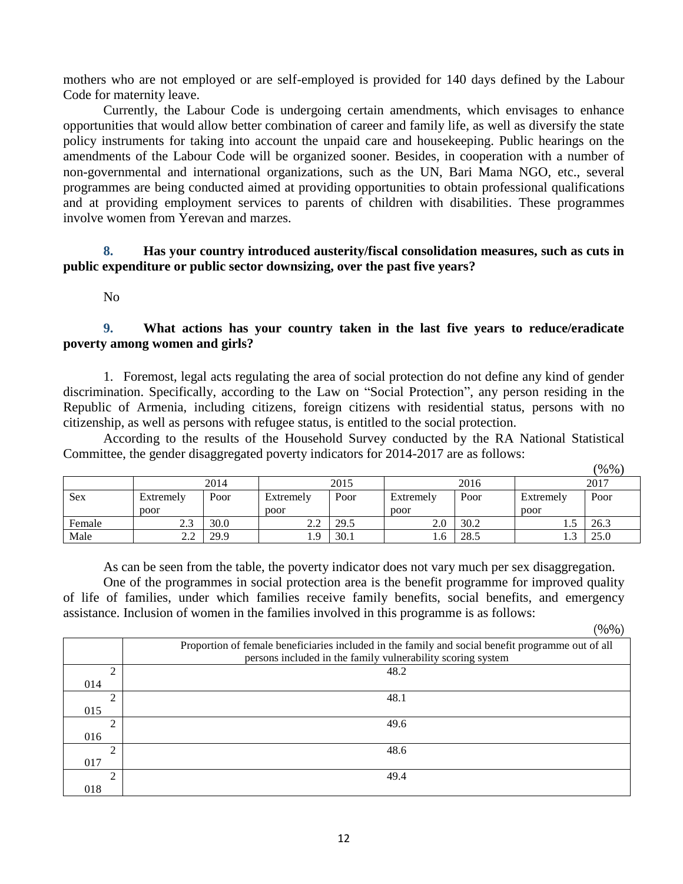mothers who are not employed or are self-employed is provided for 140 days defined by the Labour Code for maternity leave.

Currently, the Labour Code is undergoing certain amendments, which envisages to enhance opportunities that would allow better combination of career and family life, as well as diversify the state policy instruments for taking into account the unpaid care and housekeeping. Public hearings on the amendments of the Labour Code will be organized sooner. Besides, in cooperation with a number of non-governmental and international organizations, such as the UN, Bari Mama NGO, etc., several programmes are being conducted aimed at providing opportunities to obtain professional qualifications and at providing employment services to parents of children with disabilities. These programmes involve women from Yerevan and marzes.

# **8. Has your country introduced austerity/fiscal consolidation measures, such as cuts in public expenditure or public sector downsizing, over the past five years?**

No

# **9. What actions has your country taken in the last five years to reduce/eradicate poverty among women and girls?**

1. Foremost, legal acts regulating the area of social protection do not define any kind of gender discrimination. Specifically, according to the Law on "Social Protection", any person residing in the Republic of Armenia, including citizens, foreign citizens with residential status, persons with no citizenship, as well as persons with refugee status, is entitled to the social protection.

According to the results of the Household Survey conducted by the RA National Statistical Committee, the gender disaggregated poverty indicators for 2014-2017 are as follows:

|        |           |      |           |      |           |      |                      | (%%  |
|--------|-----------|------|-----------|------|-----------|------|----------------------|------|
|        |           | 2014 |           | 2015 |           | 2016 |                      | 2017 |
| Sex    | Extremely | Poor | Extremely | Poor | Extremely | Poor | Extremely            | Poor |
|        | poor      |      | poor      |      | poor      |      | poor                 |      |
| Female | 2.3       | 30.0 | 2.2       | 29.5 | 2.0       | 30.2 | 1.5                  | 26.3 |
| Male   | 2.2       | 29.9 | 1.9       | 30.1 | 1.0       | 28.5 | $\mathbf{c}$<br>ر. 1 | 25.0 |

As can be seen from the table, the poverty indicator does not vary much per sex disaggregation. One of the programmes in social protection area is the benefit programme for improved quality of life of families, under which families receive family benefits, social benefits, and emergency assistance. Inclusion of women in the families involved in this programme is as follows:

 $(9/0)$ 

|     | Proportion of female beneficiaries included in the family and social benefit programme out of all |
|-----|---------------------------------------------------------------------------------------------------|
|     | persons included in the family vulnerability scoring system                                       |
| ↑   | 48.2                                                                                              |
| 014 |                                                                                                   |
| ↑   | 48.1                                                                                              |
| 015 |                                                                                                   |
| 2   | 49.6                                                                                              |
| 016 |                                                                                                   |
| ↑   | 48.6                                                                                              |
| 017 |                                                                                                   |
| ↑   | 49.4                                                                                              |
| 018 |                                                                                                   |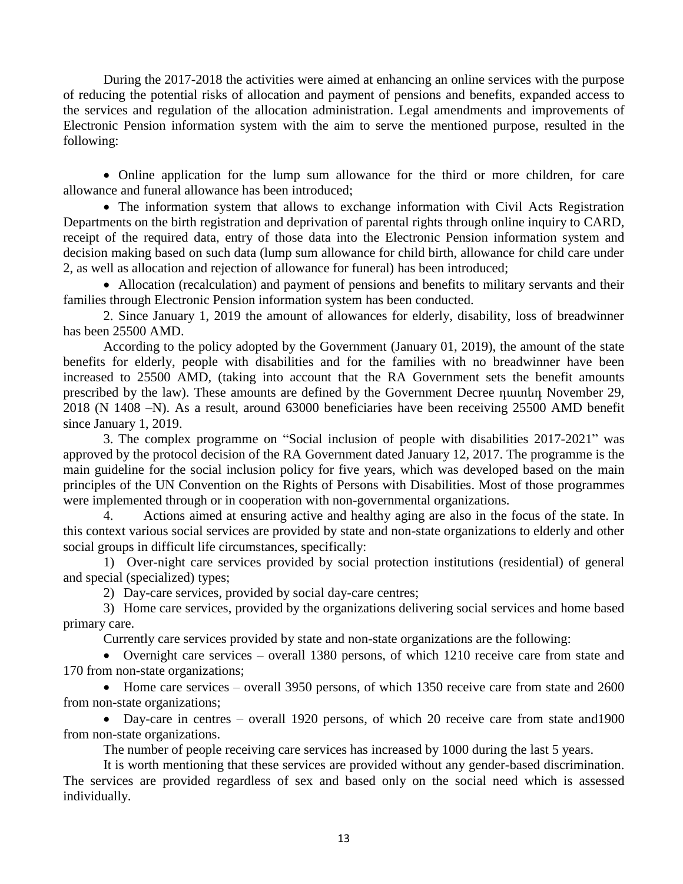During the 2017-2018 the activities were aimed at enhancing an online services with the purpose of reducing the potential risks of allocation and payment of pensions and benefits, expanded access to the services and regulation of the allocation administration. Legal amendments and improvements of Electronic Pension information system with the aim to serve the mentioned purpose, resulted in the following:

• Online application for the lump sum allowance for the third or more children, for care allowance and funeral allowance has been introduced;

• The information system that allows to exchange information with Civil Acts Registration Departments on the birth registration and deprivation of parental rights through online inquiry to CARD, receipt of the required data, entry of those data into the Electronic Pension information system and decision making based on such data (lump sum allowance for child birth, allowance for child care under 2, as well as allocation and rejection of allowance for funeral) has been introduced;

• Allocation (recalculation) and payment of pensions and benefits to military servants and their families through Electronic Pension information system has been conducted.

2. Since January 1, 2019 the amount of allowances for elderly, disability, loss of breadwinner has been 25500 AMD.

According to the policy adopted by the Government (January 01, 2019), the amount of the state benefits for elderly, people with disabilities and for the families with no breadwinner have been increased to 25500 AMD, (taking into account that the RA Government sets the benefit amounts prescribed by the law). These amounts are defined by the Government Decree դատեդ November 29, 2018 (N 1408 –N). As a result, around 63000 beneficiaries have been receiving 25500 AMD benefit since January 1, 2019.

3. The complex programme on "Social inclusion of people with disabilities 2017-2021" was approved by the protocol decision of the RA Government dated January 12, 2017. The programme is the main guideline for the social inclusion policy for five years, which was developed based on the main principles of the UN Convention on the Rights of Persons with Disabilities. Most of those programmes were implemented through or in cooperation with non-governmental organizations.

4. Actions aimed at ensuring active and healthy aging are also in the focus of the state. In this context various social services are provided by state and non-state organizations to elderly and other social groups in difficult life circumstances, specifically:

1) Over-night care services provided by social protection institutions (residential) of general and special (specialized) types;

2) Day-care services, provided by social day-care centres;

3) Home care services, provided by the organizations delivering social services and home based primary care.

Currently care services provided by state and non-state organizations are the following:

• Overnight care services – overall 1380 persons, of which 1210 receive care from state and 170 from non-state organizations;

• Home care services – overall 3950 persons, of which 1350 receive care from state and 2600 from non-state organizations;

• Day-care in centres – overall 1920 persons, of which 20 receive care from state and 1900 from non-state organizations.

The number of people receiving care services has increased by 1000 during the last 5 years.

It is worth mentioning that these services are provided without any gender-based discrimination. The services are provided regardless of sex and based only on the social need which is assessed individually.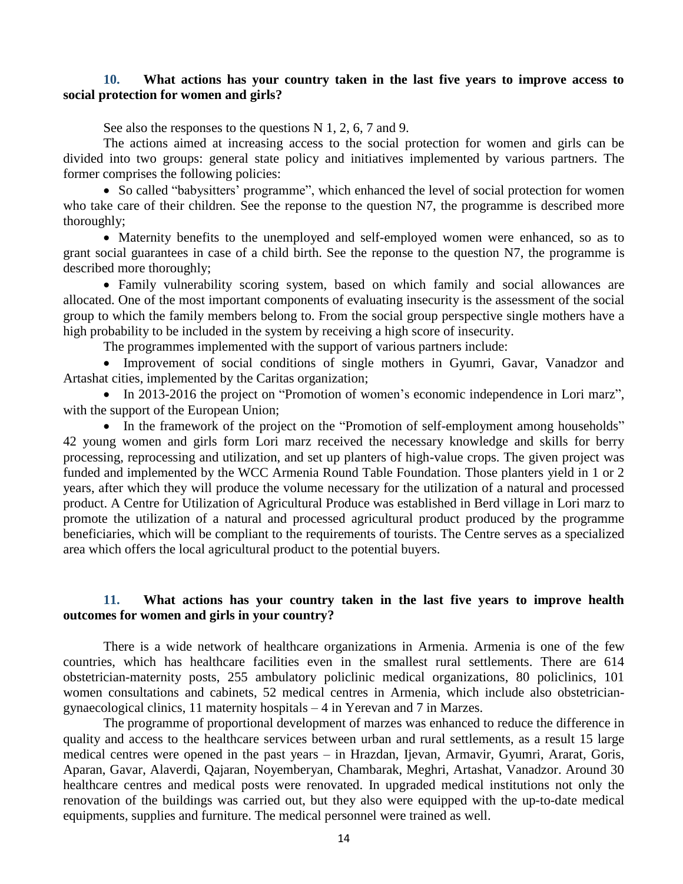### **10. What actions has your country taken in the last five years to improve access to social protection for women and girls?**

See also the responses to the questions N 1, 2, 6, 7 and 9.

The actions aimed at increasing access to the social protection for women and girls can be divided into two groups: general state policy and initiatives implemented by various partners. The former comprises the following policies:

• So called "babysitters' programme", which enhanced the level of social protection for women who take care of their children. See the reponse to the question N7, the programme is described more thoroughly;

• Maternity benefits to the unemployed and self-employed women were enhanced, so as to grant social guarantees in case of a child birth. See the reponse to the question N7, the programme is described more thoroughly;

• Family vulnerability scoring system, based on which family and social allowances are allocated. One of the most important components of evaluating insecurity is the assessment of the social group to which the family members belong to. From the social group perspective single mothers have a high probability to be included in the system by receiving a high score of insecurity.

The programmes implemented with the support of various partners include:

• Improvement of social conditions of single mothers in Gyumri, Gavar, Vanadzor and Artashat cities, implemented by the Caritas organization;

• In 2013-2016 the project on "Promotion of women's economic independence in Lori marz", with the support of the European Union;

• In the framework of the project on the "Promotion of self-employment among households" 42 young women and girls form Lori marz received the necessary knowledge and skills for berry processing, reprocessing and utilization, and set up planters of high-value crops. The given project was funded and implemented by the WCC Armenia Round Table Foundation. Those planters yield in 1 or 2 years, after which they will produce the volume necessary for the utilization of a natural and processed product. A Centre for Utilization of Agricultural Produce was established in Berd village in Lori marz to promote the utilization of a natural and processed agricultural product produced by the programme beneficiaries, which will be compliant to the requirements of tourists. The Centre serves as a specialized area which offers the local agricultural product to the potential buyers.

#### **11. What actions has your country taken in the last five years to improve health outcomes for women and girls in your country?**

There is a wide network of healthcare organizations in Armenia. Armenia is one of the few countries, which has healthcare facilities even in the smallest rural settlements. There are 614 obstetrician-maternity posts, 255 ambulatory policlinic medical organizations, 80 policlinics, 101 women consultations and cabinets, 52 medical centres in Armenia, which include also obstetriciangynaecological clinics, 11 maternity hospitals – 4 in Yerevan and 7 in Marzes.

The programme of proportional development of marzes was enhanced to reduce the difference in quality and access to the healthcare services between urban and rural settlements, as a result 15 large medical centres were opened in the past years – in Hrazdan, Ijevan, Armavir, Gyumri, Ararat, Goris, Aparan, Gavar, Alaverdi, Qajaran, Noyemberyan, Chambarak, Meghri, Artashat, Vanadzor. Around 30 healthcare centres and medical posts were renovated. In upgraded medical institutions not only the renovation of the buildings was carried out, but they also were equipped with the up-to-date medical equipments, supplies and furniture. The medical personnel were trained as well.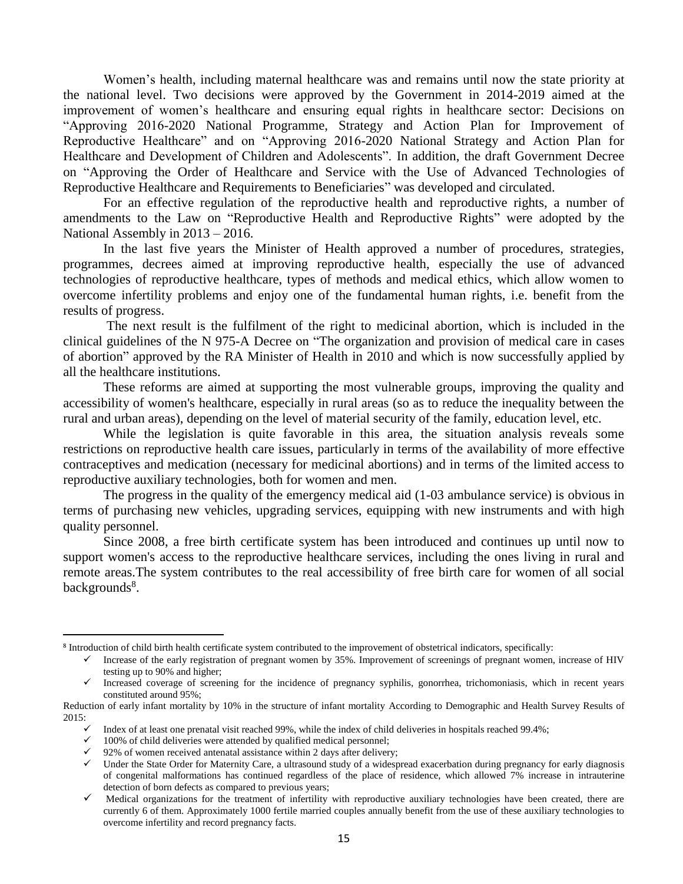Women's health, including maternal healthcare was and remains until now the state priority at the national level. Two decisions were approved by the Government in 2014-2019 aimed at the improvement of women's healthcare and ensuring equal rights in healthcare sector: Decisions on "Approving 2016-2020 National Programme, Strategy and Action Plan for Improvement of Reproductive Healthcare" and on "Approving 2016-2020 National Strategy and Action Plan for Healthcare and Development of Children and Adolescents". In addition, the draft Government Decree on "Approving the Order of Healthcare and Service with the Use of Advanced Technologies of Reproductive Healthcare and Requirements to Beneficiaries" was developed and circulated.

For an effective regulation of the reproductive health and reproductive rights, a number of amendments to the Law on "Reproductive Health and Reproductive Rights" were adopted by the National Assembly in 2013 – 2016.

In the last five years the Minister of Health approved a number of procedures, strategies, programmes, decrees aimed at improving reproductive health, especially the use of advanced technologies of reproductive healthcare, types of methods and medical ethics, which allow women to overcome infertility problems and enjoy one of the fundamental human rights, i.e. benefit from the results of progress.

The next result is the fulfilment of the right to medicinal abortion, which is included in the clinical guidelines of the N 975-A Decree on "The organization and provision of medical care in cases of abortion" approved by the RA Minister of Health in 2010 and which is now successfully applied by all the healthcare institutions.

These reforms are aimed at supporting the most vulnerable groups, improving the quality and accessibility of women's healthcare, especially in rural areas (so as to reduce the inequality between the rural and urban areas), depending on the level of material security of the family, education level, etc.

While the legislation is quite favorable in this area, the situation analysis reveals some restrictions on reproductive health care issues, particularly in terms of the availability of more effective contraceptives and medication (necessary for medicinal abortions) and in terms of the limited access to reproductive auxiliary technologies, both for women and men.

The progress in the quality of the emergency medical aid (1-03 ambulance service) is obvious in terms of purchasing new vehicles, upgrading services, equipping with new instruments and with high quality personnel.

Since 2008, a free birth certificate system has been introduced and continues up until now to support women's access to the reproductive healthcare services, including the ones living in rural and remote areas.The system contributes to the real accessibility of free birth care for women of all social backgrounds<sup>8</sup>.

<sup>8</sup> Introduction of child birth health certificate system contributed to the improvement of obstetrical indicators, specifically:

 $\checkmark$  Increase of the early registration of pregnant women by 35%. Improvement of screenings of pregnant women, increase of HIV testing up to 90% and higher;

<sup>✓</sup> Increased coverage of screening for the incidence of pregnancy syphilis, gonorrhea, trichomoniasis, which in recent years constituted around 95%;

Reduction of early infant mortality by 10% in the structure of infant mortality According to Demographic and Health Survey Results of 2015:

<sup>✓</sup> Index of at least one prenatal visit reached 99%, while the index of child deliveries in hospitals reached 99.4%;

 $\checkmark$  100% of child deliveries were attended by qualified medical personnel;

 $\checkmark$  92% of women received antenatal assistance within 2 days after delivery;

<sup>✓</sup> Under the State Order for Maternity Care, a ultrasound study of a widespread exacerbation during pregnancy for early diagnosis of congenital malformations has continued regardless of the place of residence, which allowed 7% increase in intrauterine detection of born defects as compared to previous years;

<sup>✓</sup> Medical organizations for the treatment of infertility with reproductive auxiliary technologies have been created, there are currently 6 of them. Approximately 1000 fertile married couples annually benefit from the use of these auxiliary technologies to overcome infertility and record pregnancy facts.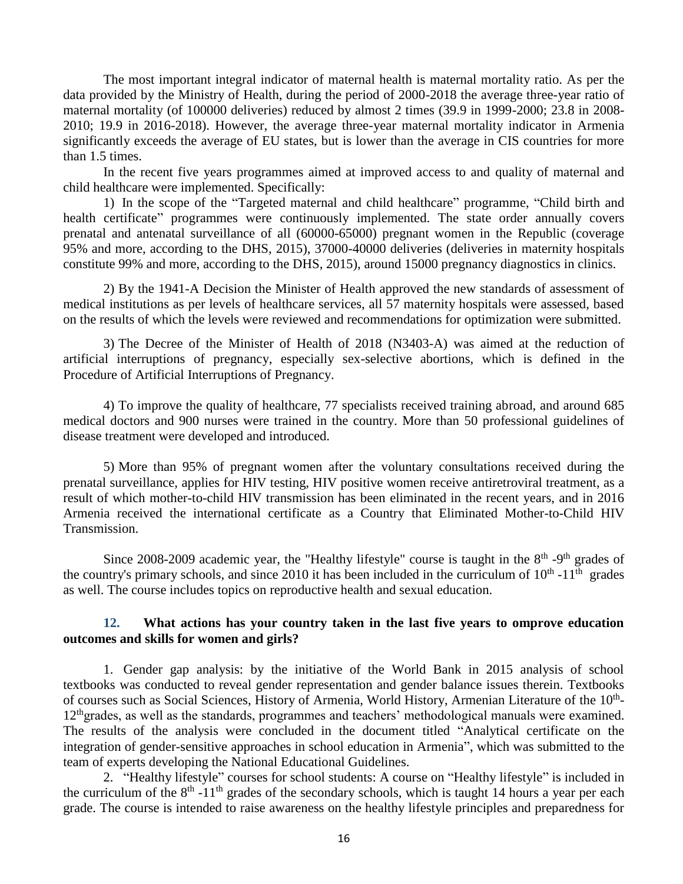The most important integral indicator of maternal health is maternal mortality ratio. As per the data provided by the Ministry of Health, during the period of 2000-2018 the average three-year ratio of maternal mortality (of 100000 deliveries) reduced by almost 2 times (39.9 in 1999-2000; 23.8 in 2008- 2010; 19.9 in 2016-2018). However, the average three-year maternal mortality indicator in Armenia significantly exceeds the average of EU states, but is lower than the average in CIS countries for more than 1.5 times.

In the recent five years programmes aimed at improved access to and quality of maternal and child healthcare were implemented. Specifically:

1) In the scope of the "Targeted maternal and child healthcare" programme, "Child birth and health certificate" programmes were continuously implemented. The state order annually covers prenatal and antenatal surveillance of all (60000-65000) pregnant women in the Republic (coverage 95% and more, according to the DHS, 2015), 37000-40000 deliveries (deliveries in maternity hospitals constitute 99% and more, according to the DHS, 2015), around 15000 pregnancy diagnostics in clinics.

2) By the 1941-A Decision the Minister of Health approved the new standards of assessment of medical institutions as per levels of healthcare services, all 57 maternity hospitals were assessed, based on the results of which the levels were reviewed and recommendations for optimization were submitted.

3) The Decree of the Minister of Health of 2018 (N3403-A) was aimed at the reduction of artificial interruptions of pregnancy, especially sex-selective abortions, which is defined in the Procedure of Artificial Interruptions of Pregnancy.

4) To improve the quality of healthcare, 77 specialists received training abroad, and around 685 medical doctors and 900 nurses were trained in the country. More than 50 professional guidelines of disease treatment were developed and introduced.

5) More than 95% of pregnant women after the voluntary consultations received during the prenatal surveillance, applies for HIV testing, HIV positive women receive antiretroviral treatment, as a result of which mother-to-child HIV transmission has been eliminated in the recent years, and in 2016 Armenia received the international certificate as a Country that Eliminated Mother-to-Child HIV Transmission.

Since 2008-2009 academic year, the "Healthy lifestyle" course is taught in the  $8<sup>th</sup>$ -9<sup>th</sup> grades of the country's primary schools, and since 2010 it has been included in the curriculum of  $10^{th}$  -11<sup>th</sup> grades as well. The course includes topics on reproductive health and sexual education.

#### **12. What actions has your country taken in the last five years to omprove education outcomes and skills for women and girls?**

1. Gender gap analysis: by the initiative of the World Bank in 2015 analysis of school textbooks was conducted to reveal gender representation and gender balance issues therein. Textbooks of courses such as Social Sciences, History of Armenia, World History, Armenian Literature of the 10<sup>th</sup>-12<sup>th</sup>grades, as well as the standards, programmes and teachers' methodological manuals were examined. The results of the analysis were concluded in the document titled "Analytical certificate on the integration of gender-sensitive approaches in school education in Armenia", which was submitted to the team of experts developing the National Educational Guidelines.

2. "Healthy lifestyle" courses for school students: A course on "Healthy lifestyle" is included in the curriculum of the  $8<sup>th</sup> - 11<sup>th</sup>$  grades of the secondary schools, which is taught 14 hours a year per each grade. The course is intended to raise awareness on the healthy lifestyle principles and preparedness for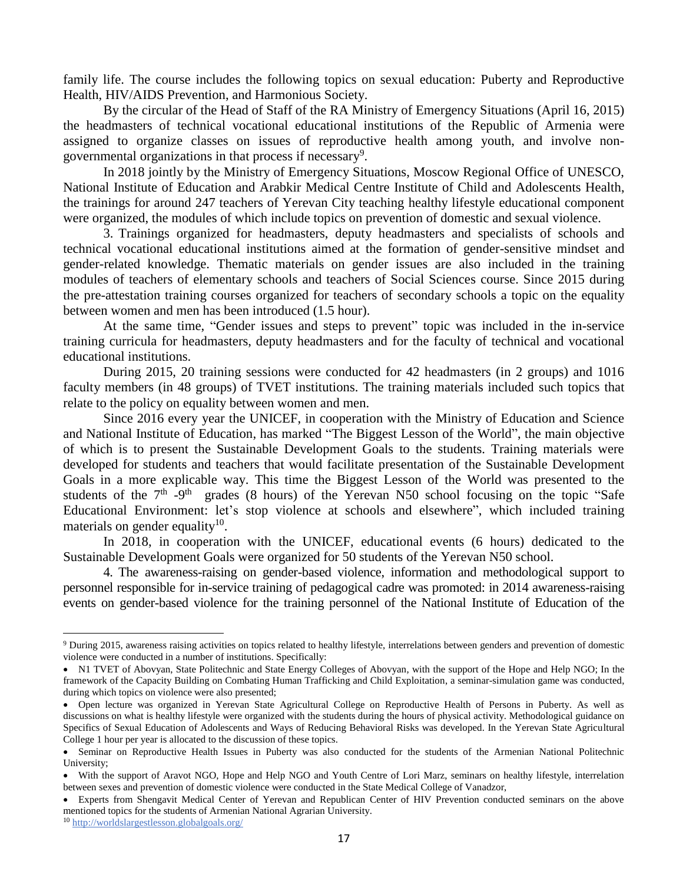family life. The course includes the following topics on sexual education: Puberty and Reproductive Health, HIV/AIDS Prevention, and Harmonious Society.

By the circular of the Head of Staff of the RA Ministry of Emergency Situations (April 16, 2015) the headmasters of technical vocational educational institutions of the Republic of Armenia were assigned to organize classes on issues of reproductive health among youth, and involve nongovernmental organizations in that process if necessary<sup>9</sup>.

In 2018 jointly by the Ministry of Emergency Situations, Moscow Regional Office of UNESCO, National Institute of Education and Arabkir Medical Centre Institute of Child and Adolescents Health, the trainings for around 247 teachers of Yerevan City teaching healthy lifestyle educational component were organized, the modules of which include topics on prevention of domestic and sexual violence.

3. Trainings organized for headmasters, deputy headmasters and specialists of schools and technical vocational educational institutions aimed at the formation of gender-sensitive mindset and gender-related knowledge. Thematic materials on gender issues are also included in the training modules of teachers of elementary schools and teachers of Social Sciences course. Since 2015 during the pre-attestation training courses organized for teachers of secondary schools a topic on the equality between women and men has been introduced (1.5 hour).

At the same time, "Gender issues and steps to prevent" topic was included in the in-service training curricula for headmasters, deputy headmasters and for the faculty of technical and vocational educational institutions.

During 2015, 20 training sessions were conducted for 42 headmasters (in 2 groups) and 1016 faculty members (in 48 groups) of TVET institutions. The training materials included such topics that relate to the policy on equality between women and men.

Since 2016 every year the UNICEF, in cooperation with the Ministry of Education and Science and National Institute of Education, has marked "The Biggest Lesson of the World", the main objective of which is to present the Sustainable Development Goals to the students. Training materials were developed for students and teachers that would facilitate presentation of the Sustainable Development Goals in a more explicable way. This time the Biggest Lesson of the World was presented to the students of the  $7<sup>th</sup>$  -9<sup>th</sup> grades (8 hours) of the Yerevan N50 school focusing on the topic "Safe Educational Environment: let's stop violence at schools and elsewhere", which included training materials on gender equality $10$ .

In 2018, in cooperation with the UNICEF, educational events (6 hours) dedicated to the Sustainable Development Goals were organized for 50 students of the Yerevan N50 school.

4. The awareness-raising on gender-based violence, information and methodological support to personnel responsible for in-service training of pedagogical cadre was promoted: in 2014 awareness-raising events on gender-based violence for the training personnel of the National Institute of Education of the

<sup>9</sup> During 2015, awareness raising activities on topics related to healthy lifestyle, interrelations between genders and prevention of domestic violence were conducted in a number of institutions. Specifically:

<sup>•</sup> N1 TVET of Abovyan, State Politechnic and State Energy Colleges of Abovyan, with the support of the Hope and Help NGO; In the framework of the Capacity Building on Combating Human Trafficking and Child Exploitation, a seminar-simulation game was conducted, during which topics on violence were also presented;

<sup>•</sup> Open lecture was organized in Yerevan State Agricultural College on Reproductive Health of Persons in Puberty. As well as discussions on what is healthy lifestyle were organized with the students during the hours of physical activity. Methodological guidance on Specifics of Sexual Education of Adolescents and Ways of Reducing Behavioral Risks was developed. In the Yerevan State Agricultural College 1 hour per year is allocated to the discussion of these topics.

<sup>•</sup> Seminar on Reproductive Health Issues in Puberty was also conducted for the students of the Armenian National Politechnic University;

<sup>•</sup> With the support of Aravot NGO, Hope and Help NGO and Youth Centre of Lori Marz, seminars on healthy lifestyle, interrelation between sexes and prevention of domestic violence were conducted in the State Medical College of Vanadzor,

<sup>•</sup> Experts from Shengavit Medical Center of Yerevan and Republican Center of HIV Prevention conducted seminars on the above mentioned topics for the students of Armenian National Agrarian University.

<sup>10</sup> <http://worldslargestlesson.globalgoals.org/>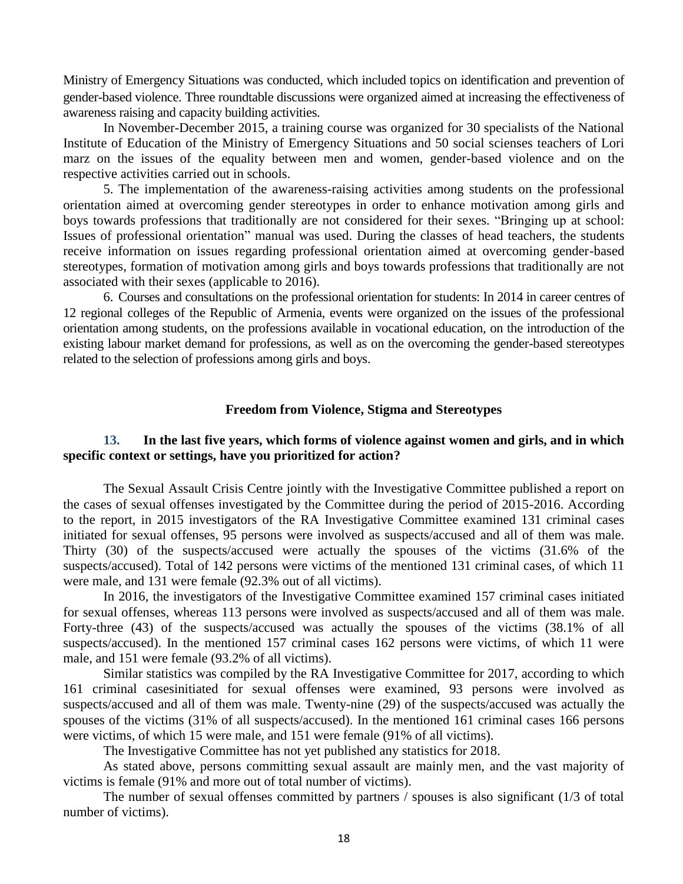Ministry of Emergency Situations was conducted, which included topics on identification and prevention of gender-based violence. Three roundtable discussions were organized aimed at increasing the effectiveness of awareness raising and capacity building activities.

In November-December 2015, a training course was organized for 30 specialists of the National Institute of Education of the Ministry of Emergency Situations and 50 social scienses teachers of Lori marz on the issues of the equality between men and women, gender-based violence and on the respective activities carried out in schools.

5. The implementation of the awareness-raising activities among students on the professional orientation aimed at overcoming gender stereotypes in order to enhance motivation among girls and boys towards professions that traditionally are not considered for their sexes. "Bringing up at school: Issues of professional orientation" manual was used. During the classes of head teachers, the students receive information on issues regarding professional orientation aimed at overcoming gender-based stereotypes, formation of motivation among girls and boys towards professions that traditionally are not associated with their sexes (applicable to 2016).

6. Courses and consultations on the professional orientation for students: In 2014 in career centres of 12 regional colleges of the Republic of Armenia, events were organized on the issues of the professional orientation among students, on the professions available in vocational education, on the introduction of the existing labour market demand for professions, as well as on the overcoming the gender-based stereotypes related to the selection of professions among girls and boys.

#### **Freedom from Violence, Stigma and Stereotypes**

### **13. In the last five years, which forms of violence against women and girls, and in which specific context or settings, have you prioritized for action?**

The Sexual Assault Crisis Centre jointly with the Investigative Committee published a report on the cases of sexual offenses investigated by the Committee during the period of 2015-2016. According to the report, in 2015 investigators of the RA Investigative Committee examined 131 criminal cases initiated for sexual offenses, 95 persons were involved as suspects/accused and all of them was male. Thirty (30) of the suspects/accused were actually the spouses of the victims (31.6% of the suspects/accused). Total of 142 persons were victims of the mentioned 131 criminal cases, of which 11 were male, and 131 were female (92.3% out of all victims).

In 2016, the investigators of the Investigative Committee examined 157 criminal cases initiated for sexual offenses, whereas 113 persons were involved as suspects/accused and all of them was male. Forty-three (43) of the suspects/accused was actually the spouses of the victims (38.1% of all suspects/accused). In the mentioned 157 criminal cases 162 persons were victims, of which 11 were male, and 151 were female (93.2% of all victims).

Similar statistics was compiled by the RA Investigative Committee for 2017, according to which 161 criminal casesinitiated for sexual offenses were examined, 93 persons were involved as suspects/accused and all of them was male. Twenty-nine (29) of the suspects/accused was actually the spouses of the victims (31% of all suspects/accused). In the mentioned 161 criminal cases 166 persons were victims, of which 15 were male, and 151 were female (91% of all victims).

The Investigative Committee has not yet published any statistics for 2018.

As stated above, persons committing sexual assault are mainly men, and the vast majority of victims is female (91% and more out of total number of victims).

The number of sexual offenses committed by partners / spouses is also significant (1/3 of total number of victims).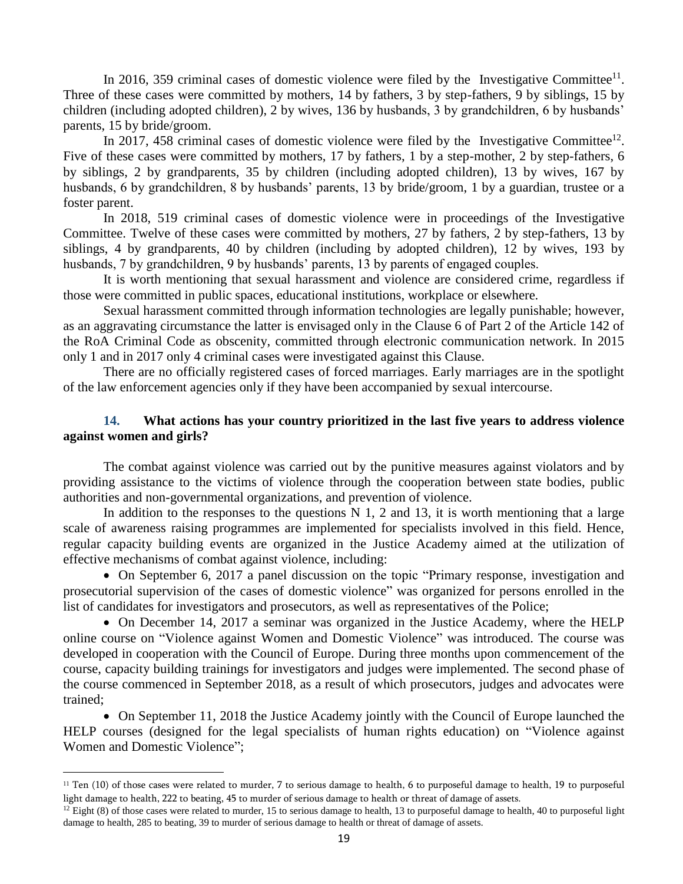In 2016, 359 criminal cases of domestic violence were filed by the Investigative Committee<sup>11</sup>. Three of these cases were committed by mothers, 14 by fathers, 3 by step-fathers, 9 by siblings, 15 by children (including adopted children), 2 by wives, 136 by husbands, 3 by grandchildren, 6 by husbands' parents, 15 by bride/groom.

In 2017, 458 criminal cases of domestic violence were filed by the Investigative Committee<sup>12</sup>. Five of these cases were committed by mothers, 17 by fathers, 1 by a step-mother, 2 by step-fathers, 6 by siblings, 2 by grandparents, 35 by children (including adopted children), 13 by wives, 167 by husbands, 6 by grandchildren, 8 by husbands' parents, 13 by bride/groom, 1 by a guardian, trustee or a foster parent.

In 2018, 519 criminal cases of domestic violence were in proceedings of the Investigative Committee. Twelve of these cases were committed by mothers, 27 by fathers, 2 by step-fathers, 13 by siblings, 4 by grandparents, 40 by children (including by adopted children), 12 by wives, 193 by husbands, 7 by grandchildren, 9 by husbands' parents, 13 by parents of engaged couples.

It is worth mentioning that sexual harassment and violence are considered crime, regardless if those were committed in public spaces, educational institutions, workplace or elsewhere.

Sexual harassment committed through information technologies are legally punishable; however, as an aggravating circumstance the latter is envisaged only in the Clause 6 of Part 2 of the Article 142 of the RoA Criminal Code as obscenity, committed through electronic communication network. In 2015 only 1 and in 2017 only 4 criminal cases were investigated against this Clause.

There are no officially registered cases of forced marriages. Early marriages are in the spotlight of the law enforcement agencies only if they have been accompanied by sexual intercourse.

#### **14. What actions has your country prioritized in the last five years to address violence against women and girls?**

The combat against violence was carried out by the punitive measures against violators and by providing assistance to the victims of violence through the cooperation between state bodies, public authorities and non-governmental organizations, and prevention of violence.

In addition to the responses to the questions  $N$  1, 2 and 13, it is worth mentioning that a large scale of awareness raising programmes are implemented for specialists involved in this field. Hence, regular capacity building events are organized in the Justice Academy aimed at the utilization of effective mechanisms of combat against violence, including:

• On September 6, 2017 a panel discussion on the topic "Primary response, investigation and prosecutorial supervision of the cases of domestic violence" was organized for persons enrolled in the list of candidates for investigators and prosecutors, as well as representatives of the Police;

• On December 14, 2017 a seminar was organized in the Justice Academy, where the HELP online course on "Violence against Women and Domestic Violence" was introduced. The course was developed in cooperation with the Council of Europe. During three months upon commencement of the course, capacity building trainings for investigators and judges were implemented. The second phase of the course commenced in September 2018, as a result of which prosecutors, judges and advocates were trained;

• On September 11, 2018 the Justice Academy jointly with the Council of Europe launched the HELP courses (designed for the legal specialists of human rights education) on "Violence against Women and Domestic Violence";

<sup>11</sup> Ten (10) of those cases were related to murder, 7 to serious damage to health, 6 to purposeful damage to health, 19 to purposeful light damage to health, 222 to beating, 45 to murder of serious damage to health or threat of damage of assets.

 $12$  Eight (8) of those cases were related to murder, 15 to serious damage to health, 13 to purposeful damage to health, 40 to purposeful light damage to health, 285 to beating, 39 to murder of serious damage to health or threat of damage of assets.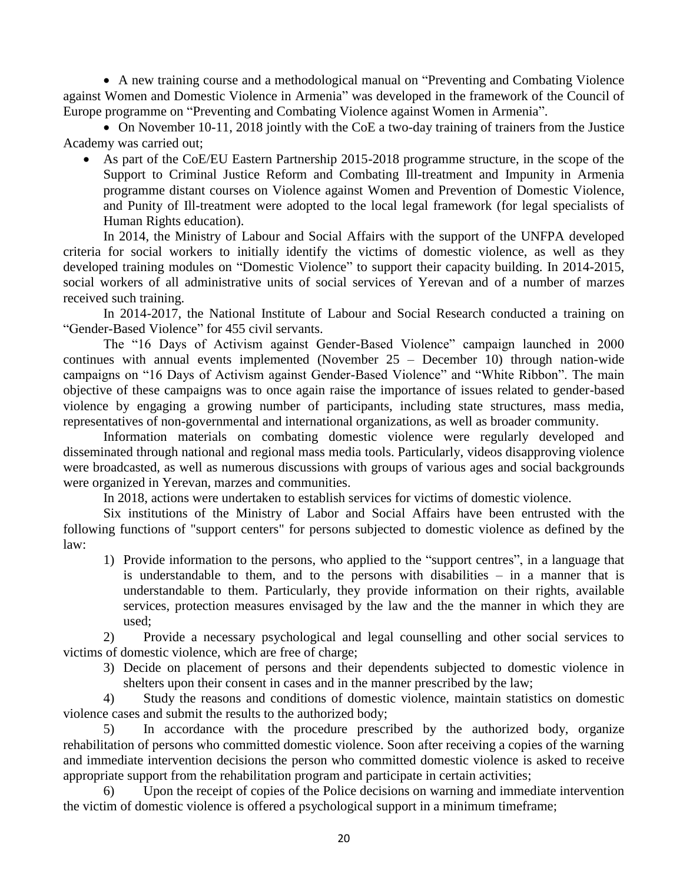• A new training course and a methodological manual on "Preventing and Combating Violence against Women and Domestic Violence in Armenia" was developed in the framework of the Council of Europe programme on "Preventing and Combating Violence against Women in Armenia".

• On November 10-11, 2018 jointly with the CoE a two-day training of trainers from the Justice Academy was carried out;

• As part of the CoE/EU Eastern Partnership 2015-2018 programme structure, in the scope of the Support to Criminal Justice Reform and Combating Ill-treatment and Impunity in Armenia programme distant courses on Violence against Women and Prevention of Domestic Violence, and Punity of Ill-treatment were adopted to the local legal framework (for legal specialists of Human Rights education).

In 2014, the Ministry of Labour and Social Affairs with the support of the UNFPA developed criteria for social workers to initially identify the victims of domestic violence, as well as they developed training modules on "Domestic Violence" to support their capacity building. In 2014-2015, social workers of all administrative units of social services of Yerevan and of a number of marzes received such training.

In 2014-2017, the National Institute of Labour and Social Research conducted a training on "Gender-Based Violence" for 455 civil servants.

The "16 Days of Activism against Gender-Based Violence" campaign launched in 2000 continues with annual events implemented (November 25 – December 10) through nation-wide campaigns on "16 Days of Activism against Gender-Based Violence" and "White Ribbon". The main objective of these campaigns was to once again raise the importance of issues related to gender-based violence by engaging a growing number of participants, including state structures, mass media, representatives of non-governmental and international organizations, as well as broader community.

Information materials on combating domestic violence were regularly developed and disseminated through national and regional mass media tools. Particularly, videos disapproving violence were broadcasted, as well as numerous discussions with groups of various ages and social backgrounds were organized in Yerevan, marzes and communities.

In 2018, actions were undertaken to establish services for victims of domestic violence.

Six institutions of the Ministry of Labor and Social Affairs have been entrusted with the following functions of "support centers" for persons subjected to domestic violence as defined by the law:

1) Provide information to the persons, who applied to the "support centres", in a language that is understandable to them, and to the persons with disabilities – in a manner that is understandable to them. Particularly, they provide information on their rights, available services, protection measures envisaged by the law and the the manner in which they are used;

2) Provide a necessary psychological and legal counselling and other social services to victims of domestic violence, which are free of charge;

3) Decide on placement of persons and their dependents subjected to domestic violence in shelters upon their consent in cases and in the manner prescribed by the law;

4) Study the reasons and conditions of domestic violence, maintain statistics on domestic violence cases and submit the results to the authorized body;

5) In accordance with the procedure prescribed by the authorized body, organize rehabilitation of persons who committed domestic violence. Soon after receiving a copies of the warning and immediate intervention decisions the person who committed domestic violence is asked to receive appropriate support from the rehabilitation program and participate in certain activities;

6) Upon the receipt of copies of the Police decisions on warning and immediate intervention the victim of domestic violence is offered a psychological support in a minimum timeframe;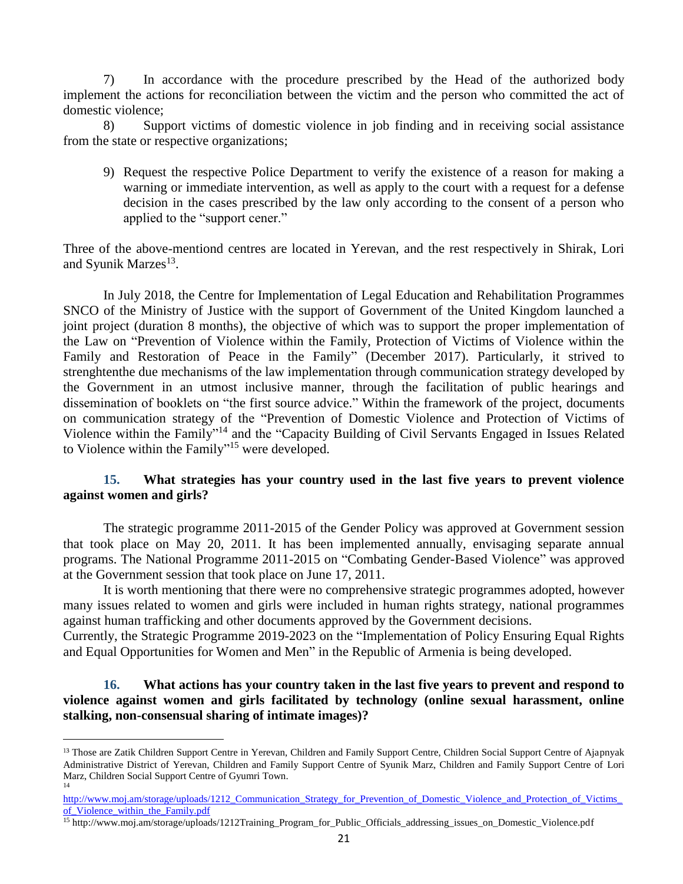7) In accordance with the procedure prescribed by the Head of the authorized body implement the actions for reconciliation between the victim and the person who committed the act of domestic violence;

8) Support victims of domestic violence in job finding and in receiving social assistance from the state or respective organizations;

9) Request the respective Police Department to verify the existence of a reason for making a warning or immediate intervention, as well as apply to the court with a request for a defense decision in the cases prescribed by the law only according to the consent of a person who applied to the "support cener."

Three of the above-mentiond centres are located in Yerevan, and the rest respectively in Shirak, Lori and Syunik Marzes<sup>13</sup>.

In July 2018, the Centre for Implementation of Legal Education and Rehabilitation Programmes SNCO of the Ministry of Justice with the support of Government of the United Kingdom launched a joint project (duration 8 months), the objective of which was to support the proper implementation of the Law on "Prevention of Violence within the Family, Protection of Victims of Violence within the Family and Restoration of Peace in the Family" (December 2017). Particularly, it strived to strenghtenthe due mechanisms of the law implementation through communication strategy developed by the Government in an utmost inclusive manner, through the facilitation of public hearings and dissemination of booklets on "the first source advice." Within the framework of the project, documents on communication strategy of the "Prevention of Domestic Violence and Protection of Victims of Violence within the Family"<sup>14</sup> and the "Capacity Building of Civil Servants Engaged in Issues Related to Violence within the Family" <sup>15</sup> were developed.

# **15. What strategies has your country used in the last five years to prevent violence against women and girls?**

The strategic programme 2011-2015 of the Gender Policy was approved at Government session that took place on May 20, 2011. It has been implemented annually, envisaging separate annual programs. The National Programme 2011-2015 on "Combating Gender-Based Violence" was approved at the Government session that took place on June 17, 2011.

It is worth mentioning that there were no comprehensive strategic programmes adopted, however many issues related to women and girls were included in human rights strategy, national programmes against human trafficking and other documents approved by the Government decisions.

Currently, the Strategic Programme 2019-2023 on the "Implementation of Policy Ensuring Equal Rights and Equal Opportunities for Women and Men" in the Republic of Armenia is being developed.

# **16. What actions has your country taken in the last five years to prevent and respond to violence against women and girls facilitated by technology (online sexual harassment, online stalking, non-consensual sharing of intimate images)?**

<sup>&</sup>lt;sup>13</sup> Those are Zatik Children Support Centre in Yerevan, Children and Family Support Centre, Children Social Support Centre of Ajapnyak Administrative District of Yerevan, Children and Family Support Centre of Syunik Marz, Children and Family Support Centre of Lori Marz, Children Social Support Centre of Gyumri Town. 14

[http://www.moj.am/storage/uploads/1212\\_Communication\\_Strategy\\_for\\_Prevention\\_of\\_Domestic\\_Violence\\_and\\_Protection\\_of\\_Victims\\_](http://www.moj.am/storage/uploads/1212_Communication_Strategy_for_Prevention_of_Domestic_Violence_and_Protection_of_Victims_of_Violence_within_the_Family.pdf) of Violence within the Family.pdf

<sup>15</sup> http://www.moj.am/storage/uploads/1212Training\_Program\_for\_Public\_Officials\_addressing\_issues\_on\_Domestic\_Violence.pdf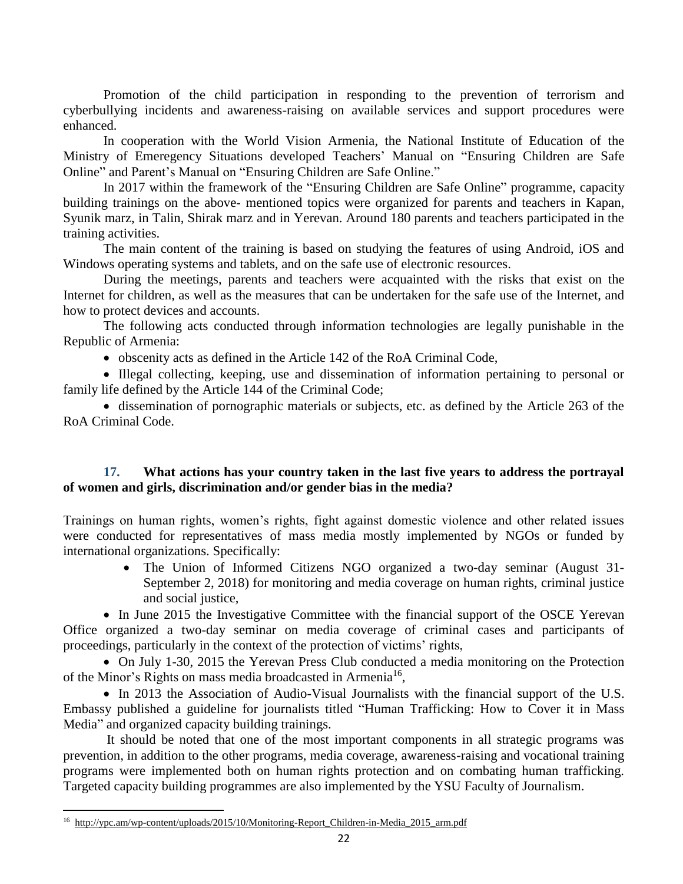Promotion of the child participation in responding to the prevention of terrorism and cyberbullying incidents and awareness-raising on available services and support procedures were enhanced.

In cooperation with the World Vision Armenia, the National Institute of Education of the Ministry of Emeregency Situations developed Teachers' Manual on "Ensuring Children are Safe Online" and Parent's Manual on "Ensuring Children are Safe Online."

In 2017 within the framework of the "Ensuring Children are Safe Online" programme, capacity building trainings on the above- mentioned topics were organized for parents and teachers in Kapan, Syunik marz, in Talin, Shirak marz and in Yerevan. Around 180 parents and teachers participated in the training activities.

The main content of the training is based on studying the features of using Android, iOS and Windows operating systems and tablets, and on the safe use of electronic resources.

During the meetings, parents and teachers were acquainted with the risks that exist on the Internet for children, as well as the measures that can be undertaken for the safe use of the Internet, and how to protect devices and accounts.

The following acts conducted through information technologies are legally punishable in the Republic of Armenia:

• obscenity acts as defined in the Article 142 of the RoA Criminal Code,

• Illegal collecting, keeping, use and dissemination of information pertaining to personal or family life defined by the Article 144 of the Criminal Code;

• dissemination of pornographic materials or subjects, etc. as defined by the Article 263 of the RoA Criminal Code.

### **17. What actions has your country taken in the last five years to address the portrayal of women and girls, discrimination and/or gender bias in the media?**

Trainings on human rights, women's rights, fight against domestic violence and other related issues were conducted for representatives of mass media mostly implemented by NGOs or funded by international organizations. Specifically:

• The Union of Informed Citizens NGO organized a two-day seminar (August 31-September 2, 2018) for monitoring and media coverage on human rights, criminal justice and social justice,

• In June 2015 the Investigative Committee with the financial support of the OSCE Yerevan Office organized a two-day seminar on media coverage of criminal cases and participants of proceedings, particularly in the context of the protection of victims' rights,

• On July 1-30, 2015 the Yerevan Press Club conducted a media monitoring on the Protection of the Minor's Rights on mass media broadcasted in Armenia<sup>16</sup>,

• In 2013 the Association of Audio-Visual Journalists with the financial support of the U.S. Embassy published a guideline for journalists titled "Human Trafficking: How to Cover it in Mass Media" and organized capacity building trainings.

It should be noted that one of the most important components in all strategic programs was prevention, in addition to the other programs, media coverage, awareness-raising and vocational training programs were implemented both on human rights protection and on combating human trafficking. Targeted capacity building programmes are also implemented by the YSU Faculty of Journalism.

<sup>&</sup>lt;sup>16</sup> [http://ypc.am/wp-content/uploads/2015/10/Monitoring-Report\\_Children-in-Media\\_2015\\_arm.pdf](http://ypc.am/wp-content/uploads/2015/10/Monitoring-Report_Children-in-Media_2015_arm.pdf)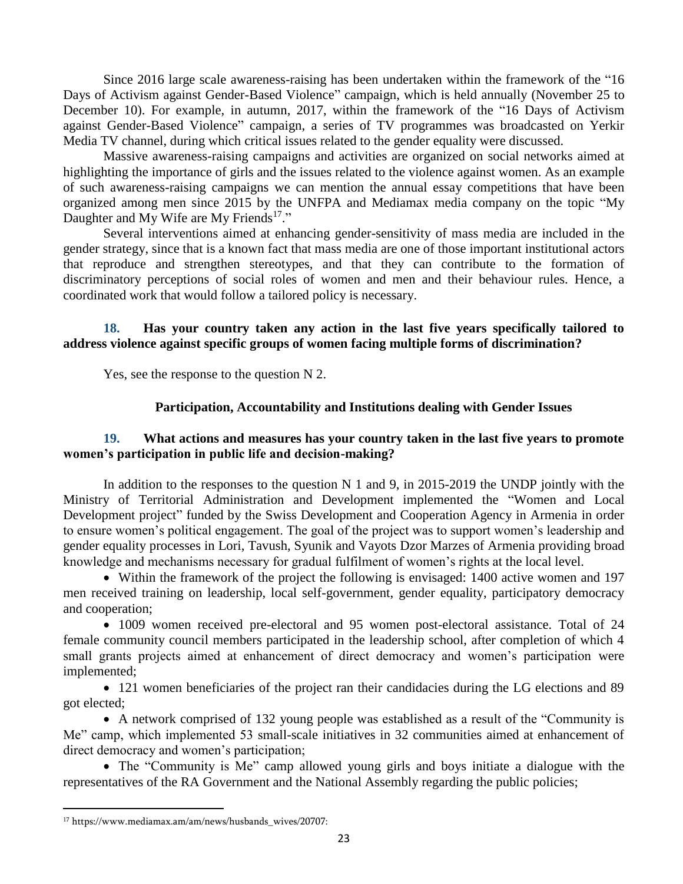Since 2016 large scale awareness-raising has been undertaken within the framework of the "16 Days of Activism against Gender-Based Violence" campaign, which is held annually (November 25 to December 10). For example, in autumn, 2017, within the framework of the "16 Days of Activism against Gender-Based Violence" campaign, a series of TV programmes was broadcasted on Yerkir Media TV channel, during which critical issues related to the gender equality were discussed.

Massive awareness-raising campaigns and activities are organized on social networks aimed at highlighting the importance of girls and the issues related to the violence against women. As an example of such awareness-raising campaigns we can mention the annual essay competitions that have been organized among men since 2015 by the UNFPA and Mediamax media company on the topic "My Daughter and My Wife are My Friends<sup>17</sup>."

Several interventions aimed at enhancing gender-sensitivity of mass media are included in the gender strategy, since that is a known fact that mass media are one of those important institutional actors that reproduce and strengthen stereotypes, and that they can contribute to the formation of discriminatory perceptions of social roles of women and men and their behaviour rules. Hence, a coordinated work that would follow a tailored policy is necessary.

# **18. Has your country taken any action in the last five years specifically tailored to address violence against specific groups of women facing multiple forms of discrimination?**

Yes, see the response to the question N 2.

### **Participation, Accountability and Institutions dealing with Gender Issues**

### **19. What actions and measures has your country taken in the last five years to promote women's participation in public life and decision-making?**

In addition to the responses to the question N 1 and 9, in 2015-2019 the UNDP jointly with the Ministry of Territorial Administration and Development implemented the "Women and Local Development project" funded by the Swiss Development and Cooperation Agency in Armenia in order to ensure women's political engagement. The goal of the project was to support women's leadership and gender equality processes in Lori, Tavush, Syunik and Vayots Dzor Marzes of Armenia providing broad knowledge and mechanisms necessary for gradual fulfilment of women's rights at the local level.

• Within the framework of the project the following is envisaged: 1400 active women and 197 men received training on leadership, local self-government, gender equality, participatory democracy and cooperation;

• 1009 women received pre-electoral and 95 women post-electoral assistance. Total of 24 female community council members participated in the leadership school, after completion of which 4 small grants projects aimed at enhancement of direct democracy and women's participation were implemented;

• 121 women beneficiaries of the project ran their candidacies during the LG elections and 89 got elected;

• A network comprised of 132 young people was established as a result of the "Community is Me" camp, which implemented 53 small-scale initiatives in 32 communities aimed at enhancement of direct democracy and women's participation;

• The "Community is Me" camp allowed young girls and boys initiate a dialogue with the representatives of the RA Government and the National Assembly regarding the public policies;

<sup>17</sup> https://www.mediamax.am/am/news/husbands\_wives/20707: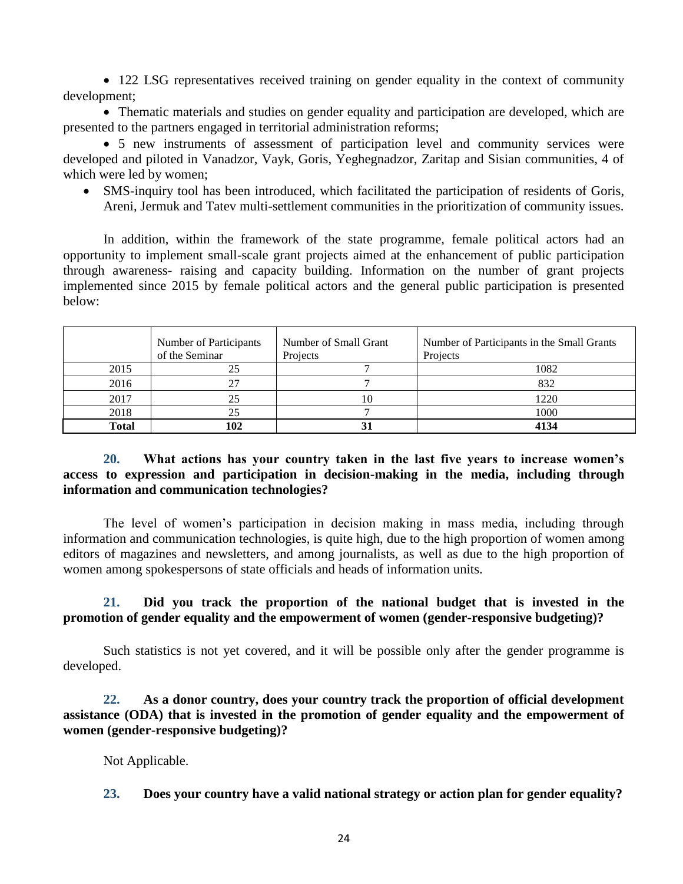• 122 LSG representatives received training on gender equality in the context of community development;

• Thematic materials and studies on gender equality and participation are developed, which are presented to the partners engaged in territorial administration reforms;

• 5 new instruments of assessment of participation level and community services were developed and piloted in Vanadzor, Vayk, Goris, Yeghegnadzor, Zaritap and Sisian communities, 4 of which were led by women;

• SMS-inquiry tool has been introduced, which facilitated the participation of residents of Goris, Areni, Jermuk and Tatev multi-settlement communities in the prioritization of community issues.

In addition, within the framework of the state programme, female political actors had an opportunity to implement small-scale grant projects aimed at the enhancement of public participation through awareness- raising and capacity building. Information on the number of grant projects implemented since 2015 by female political actors and the general public participation is presented below:

|       | Number of Participants<br>of the Seminar | Number of Small Grant<br>Projects | Number of Participants in the Small Grants<br>Projects |
|-------|------------------------------------------|-----------------------------------|--------------------------------------------------------|
| 2015  | 25                                       |                                   | 1082                                                   |
| 2016  | 27                                       |                                   | 832                                                    |
| 2017  | 25                                       | 10                                | 1220                                                   |
| 2018  | 25                                       |                                   | 1000                                                   |
| Total | 102                                      |                                   | 4134                                                   |

# **20. What actions has your country taken in the last five years to increase women's access to expression and participation in decision-making in the media, including through information and communication technologies?**

The level of women's participation in decision making in mass media, including through information and communication technologies, is quite high, due to the high proportion of women among editors of magazines and newsletters, and among journalists, as well as due to the high proportion of women among spokespersons of state officials and heads of information units.

# **21. Did you track the proportion of the national budget that is invested in the promotion of gender equality and the empowerment of women (gender-responsive budgeting)?**

Such statistics is not yet covered, and it will be possible only after the gender programme is developed.

**22. As a donor country, does your country track the proportion of official development assistance (ODA) that is invested in the promotion of gender equality and the empowerment of women (gender-responsive budgeting)?**

Not Applicable.

**23. Does your country have a valid national strategy or action plan for gender equality?**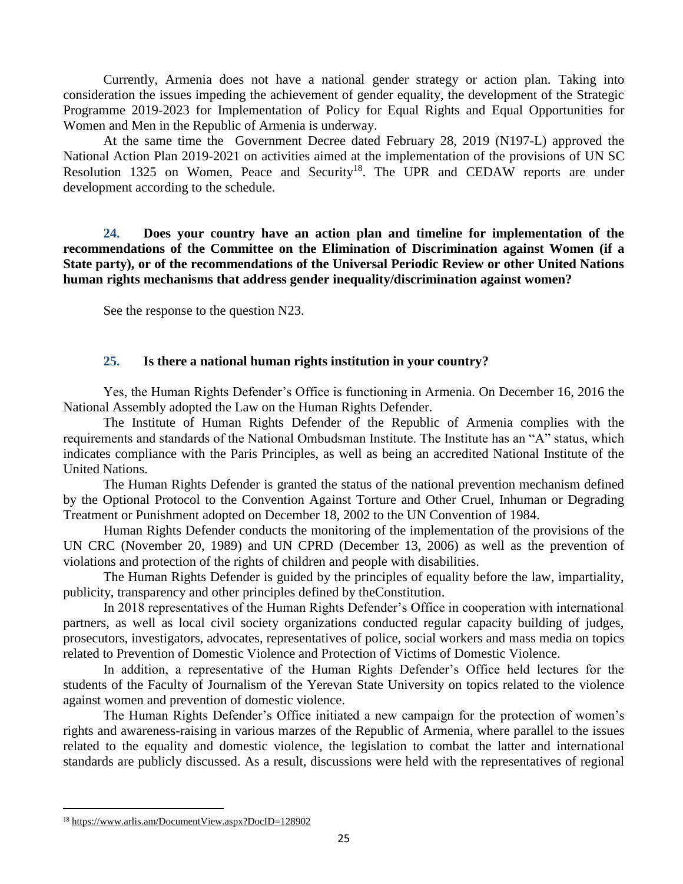Currently, Armenia does not have a national gender strategy or action plan. Taking into consideration the issues impeding the achievement of gender equality, the development of the Strategic Programme 2019-2023 for Implementation of Policy for Equal Rights and Equal Opportunities for Women and Men in the Republic of Armenia is underway.

At the same time the Government Decree dated February 28, 2019 (N197-L) approved the National Action Plan 2019-2021 on activities aimed at the implementation of the provisions of UN SC Resolution 1325 on Women, Peace and Security<sup>18</sup>. The UPR and CEDAW reports are under development according to the schedule.

**24. Does your country have an action plan and timeline for implementation of the recommendations of the Committee on the Elimination of Discrimination against Women (if a State party), or of the recommendations of the Universal Periodic Review or other United Nations human rights mechanisms that address gender inequality/discrimination against women?**

See the response to the question N23.

#### **25. Is there a national human rights institution in your country?**

Yes, the Human Rights Defender's Office is functioning in Armenia. On December 16, 2016 the National Assembly adopted the Law on the Human Rights Defender.

The Institute of Human Rights Defender of the Republic of Armenia complies with the requirements and standards of the National Ombudsman Institute. The Institute has an "A" status, which indicates compliance with the Paris Principles, as well as being an accredited National Institute of the United Nations.

The Human Rights Defender is granted the status of the national prevention mechanism defined by the Optional Protocol to the Convention Against Torture and Other Cruel, Inhuman or Degrading Treatment or Punishment adopted on December 18, 2002 to the UN Convention of 1984.

Human Rights Defender conducts the monitoring of the implementation of the provisions of the UN CRC (November 20, 1989) and UN CPRD (December 13, 2006) as well as the prevention of violations and protection of the rights of children and people with disabilities.

The Human Rights Defender is guided by the principles of equality before the law, impartiality, publicity, transparency and other principles defined by theConstitution.

In 2018 representatives of the Human Rights Defender's Office in cooperation with international partners, as well as local civil society organizations conducted regular capacity building of judges, prosecutors, investigators, advocates, representatives of police, social workers and mass media on topics related to Prevention of Domestic Violence and Protection of Victims of Domestic Violence.

In addition, a representative of the Human Rights Defender's Office held lectures for the students of the Faculty of Journalism of the Yerevan State University on topics related to the violence against women and prevention of domestic violence.

The Human Rights Defender's Office initiated a new campaign for the protection of women's rights and awareness-raising in various marzes of the Republic of Armenia, where parallel to the issues related to the equality and domestic violence, the legislation to combat the latter and international standards are publicly discussed. As a result, discussions were held with the representatives of regional

<sup>18</sup> <https://www.arlis.am/DocumentView.aspx?DocID=128902>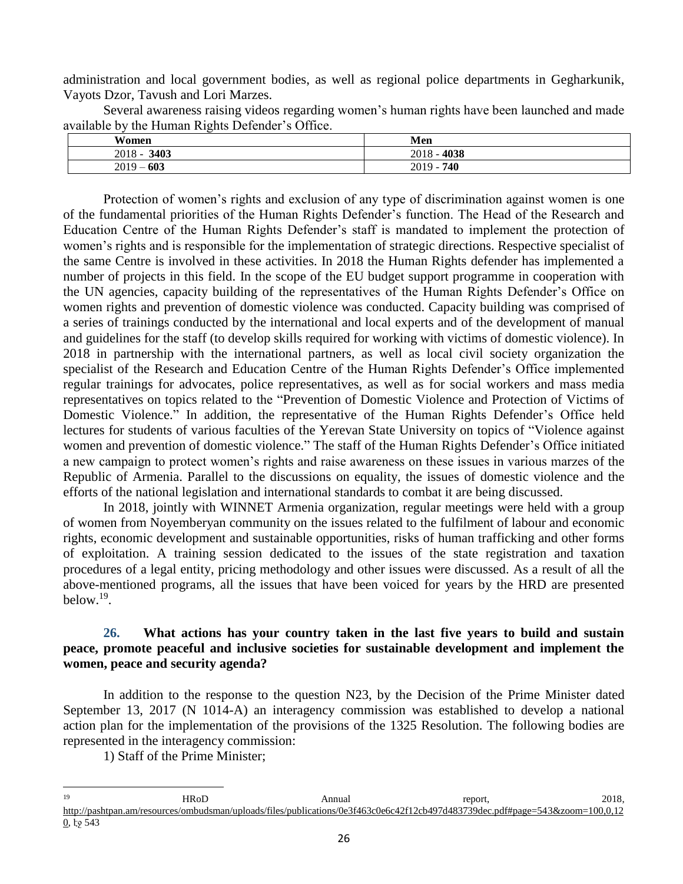administration and local government bodies, as well as regional police departments in Gegharkunik, Vayots Dzor, Tavush and Lori Marzes.

Several awareness raising videos regarding women's human rights have been launched and made available by the Human Rights Defender's Office.

| Women                                   | Men          |
|-----------------------------------------|--------------|
| 3403<br>$2018 -$                        | 4038<br>2018 |
| 603<br>2019<br>$\overline{\phantom{a}}$ | 740<br>2019  |

Protection of women's rights and exclusion of any type of discrimination against women is one of the fundamental priorities of the Human Rights Defender's function. The Head of the Research and Education Centre of the Human Rights Defender's staff is mandated to implement the protection of women's rights and is responsible for the implementation of strategic directions. Respective specialist of the same Centre is involved in these activities. In 2018 the Human Rights defender has implemented a number of projects in this field. In the scope of the EU budget support programme in cooperation with the UN agencies, capacity building of the representatives of the Human Rights Defender's Office on women rights and prevention of domestic violence was conducted. Capacity building was comprised of a series of trainings conducted by the international and local experts and of the development of manual and guidelines for the staff (to develop skills required for working with victims of domestic violence). In 2018 in partnership with the international partners, as well as local civil society organization the specialist of the Research and Education Centre of the Human Rights Defender's Office implemented regular trainings for advocates, police representatives, as well as for social workers and mass media representatives on topics related to the "Prevention of Domestic Violence and Protection of Victims of Domestic Violence." In addition, the representative of the Human Rights Defender's Office held lectures for students of various faculties of the Yerevan State University on topics of "Violence against women and prevention of domestic violence." The staff of the Human Rights Defender's Office initiated a new campaign to protect women's rights and raise awareness on these issues in various marzes of the Republic of Armenia. Parallel to the discussions on equality, the issues of domestic violence and the efforts of the national legislation and international standards to combat it are being discussed.

In 2018, jointly with WINNET Armenia organization, regular meetings were held with a group of women from Noyemberyan community on the issues related to the fulfilment of labour and economic rights, economic development and sustainable opportunities, risks of human trafficking and other forms of exploitation. A training session dedicated to the issues of the state registration and taxation procedures of a legal entity, pricing methodology and other issues were discussed. As a result of all the above-mentioned programs, all the issues that have been voiced for years by the HRD are presented below.<sup>19</sup> .

## **26. What actions has your country taken in the last five years to build and sustain peace, promote peaceful and inclusive societies for sustainable development and implement the women, peace and security agenda?**

In addition to the response to the question N23, by the Decision of the Prime Minister dated September 13, 2017 (N 1014-A) an interagency commission was established to develop a national action plan for the implementation of the provisions of the 1325 Resolution. The following bodies are represented in the interagency commission:

1) Staff of the Prime Minister;

 $19$ <sup>19</sup> HRoD **HROD** Annual report, 2018, [http://pashtpan.am/resources/ombudsman/uploads/files/publications/0e3f463c0e6c42f12cb497d483739dec.pdf#page=543&zoom=100,0,12](http://pashtpan.am/resources/ombudsman/uploads/files/publications/0e3f463c0e6c42f12cb497d483739dec.pdf#page=543&zoom=100,0,120)  $0,$   $\frac{1}{9}$  543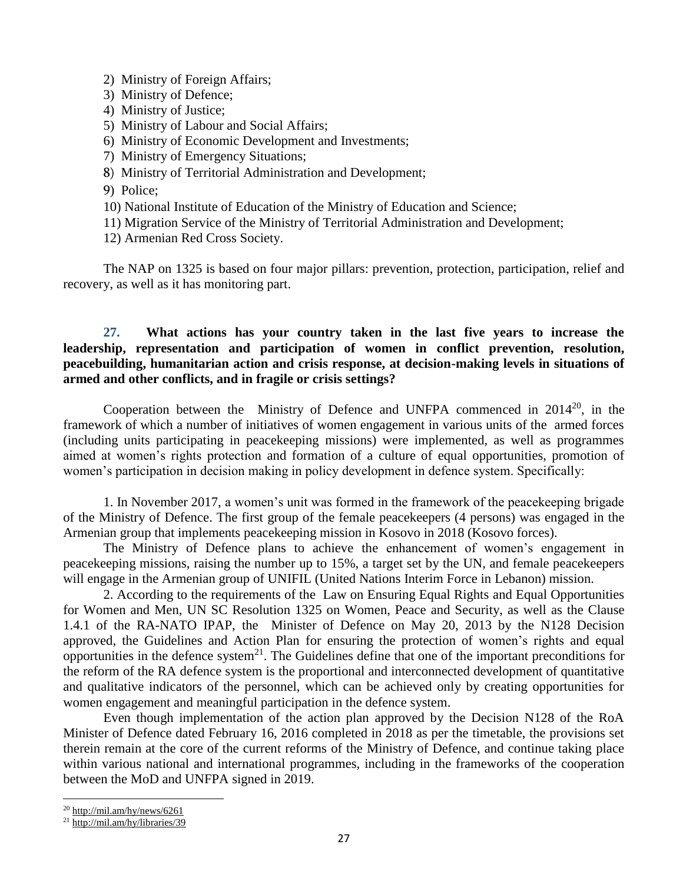- 2) Ministry of Foreign Affairs;
- 3) Ministry of Defence;
- 4) Ministry of Justice;
- 5) Ministry of Labour and Social Affairs;
- 6) Ministry of Economic Development and Investments;
- 7) Ministry of Emergency Situations;
- 8) Ministry of Territorial Administration and Development;
- 9) Police;
- 10) National Institute of Education of the Ministry of Education and Science;
- 11) Migration Service of the Ministry of Territorial Administration and Development;

12) Armenian Red Cross Society.

The NAP on 1325 is based on four major pillars: prevention, protection, participation, relief and recovery, as well as it has monitoring part.

# **27. What actions has your country taken in the last five years to increase the leadership, representation and participation of women in conflict prevention, resolution, peacebuilding, humanitarian action and crisis response, at decision-making levels in situations of armed and other conflicts, and in fragile or crisis settings?**

Cooperation between the Ministry of Defence and UNFPA commenced in  $2014^{20}$ , in the framework of which a number of initiatives of women engagement in various units of the armed forces (including units participating in peacekeeping missions) were implemented, as well as programmes aimed at women's rights protection and formation of a culture of equal opportunities, promotion of women's participation in decision making in policy development in defence system. Specifically:

1. In November 2017, a women's unit was formed in the framework of the peacekeeping brigade of the Ministry of Defence. The first group of the female peacekeepers (4 persons) was engaged in the Armenian group that implements peacekeeping mission in Kosovo in 2018 (Kosovo forces).

The Ministry of Defence plans to achieve the enhancement of women's engagement in peacekeeping missions, raising the number up to 15%, a target set by the UN, and female peacekeepers will engage in the Armenian group of UNIFIL (United Nations Interim Force in Lebanon) mission.

2. According to the requirements of the Law on Ensuring Equal Rights and Equal Opportunities for Women and Men, UN SC Resolution 1325 on Women, Peace and Security, as well as the Clause 1.4.1 of the RA-NATO IPAP, the Minister of Defence on May 20, 2013 by the N128 Decision approved, the Guidelines and Action Plan for ensuring the protection of women's rights and equal opportunities in the defence system<sup>21</sup>. The Guidelines define that one of the important preconditions for the reform of the RA defence system is the proportional and interconnected development of quantitative and qualitative indicators of the personnel, which can be achieved only by creating opportunities for women engagement and meaningful participation in the defence system.

Even though implementation of the action plan approved by the Decision N128 of the RoA Minister of Defence dated February 16, 2016 completed in 2018 as per the timetable, the provisions set therein remain at the core of the current reforms of the Ministry of Defence, and continue taking place within various national and international programmes, including in the frameworks of the cooperation between the MoD and UNFPA signed in 2019.

 $^{20}$  <http://mil.am/hy/news/6261>

<sup>21</sup> <http://mil.am/hy/libraries/39>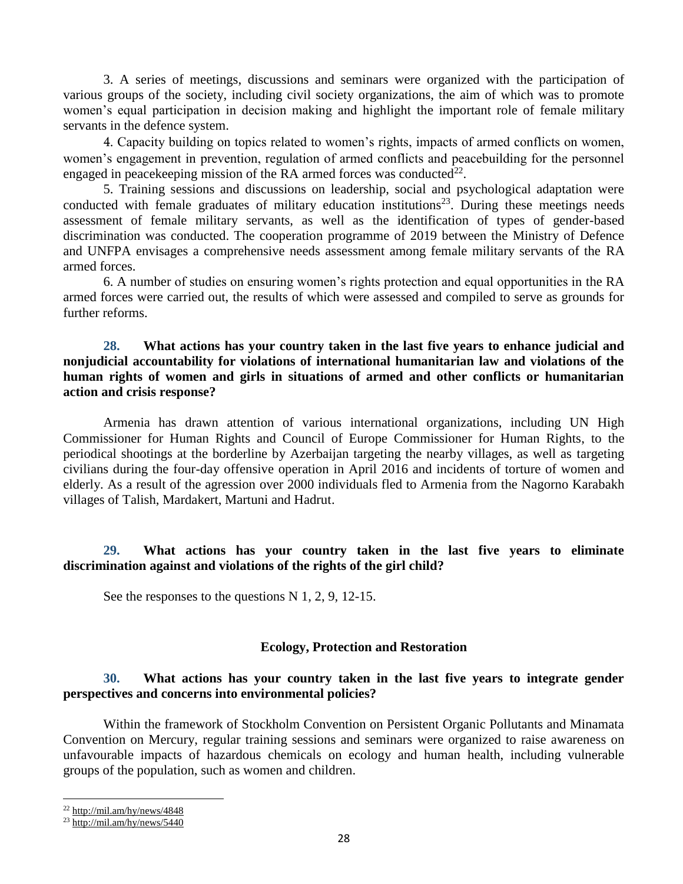3. A series of meetings, discussions and seminars were organized with the participation of various groups of the society, including civil society organizations, the aim of which was to promote women's equal participation in decision making and highlight the important role of female military servants in the defence system.

4. Capacity building on topics related to women's rights, impacts of armed conflicts on women, women's engagement in prevention, regulation of armed conflicts and peacebuilding for the personnel engaged in peacekeeping mission of the RA armed forces was conducted $^{22}$ .

5. Training sessions and discussions on leadership, social and psychological adaptation were conducted with female graduates of military education institutions<sup>23</sup>. During these meetings needs assessment of female military servants, as well as the identification of types of gender-based discrimination was conducted. The cooperation programme of 2019 between the Ministry of Defence and UNFPA envisages a comprehensive needs assessment among female military servants of the RA armed forces.

6. A number of studies on ensuring women's rights protection and equal opportunities in the RA armed forces were carried out, the results of which were assessed and compiled to serve as grounds for further reforms.

### **28. What actions has your country taken in the last five years to enhance judicial and nonjudicial accountability for violations of international humanitarian law and violations of the human rights of women and girls in situations of armed and other conflicts or humanitarian action and crisis response?**

Armenia has drawn attention of various international organizations, including UN High Commissioner for Human Rights and Council of Europe Commissioner for Human Rights, to the periodical shootings at the borderline by Azerbaijan targeting the nearby villages, as well as targeting civilians during the four-day offensive operation in April 2016 and incidents of torture of women and elderly. As a result of the agression over 2000 individuals fled to Armenia from the Nagorno Karabakh villages of Talish, Mardakert, Martuni and Hadrut.

### **29. What actions has your country taken in the last five years to eliminate discrimination against and violations of the rights of the girl child?**

See the responses to the questions N 1, 2, 9, 12-15.

### **Ecology, Protection and Restoration**

# **30. What actions has your country taken in the last five years to integrate gender perspectives and concerns into environmental policies?**

Within the framework of Stockholm Convention on Persistent Organic Pollutants and Minamata Convention on Mercury, regular training sessions and seminars were organized to raise awareness on unfavourable impacts of hazardous chemicals on ecology and human health, including vulnerable groups of the population, such as women and children.

 $22$  <http://mil.am/hy/news/4848>

 $^{23}$  <http://mil.am/hy/news/5440>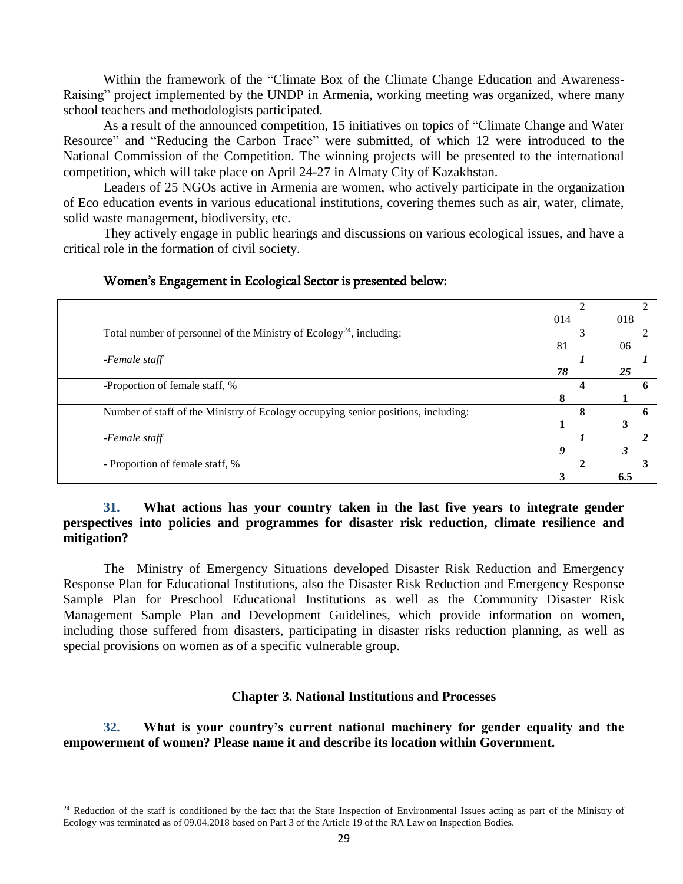Within the framework of the "Climate Box of the Climate Change Education and Awareness-Raising" project implemented by the UNDP in Armenia, working meeting was organized, where many school teachers and methodologists participated.

As a result of the announced competition, 15 initiatives on topics of "Climate Change and Water Resource" and "Reducing the Carbon Trace" were submitted, of which 12 were introduced to the National Commission of the Competition. The winning projects will be presented to the international competition, which will take place on April 24-27 in Almaty City of Kazakhstan.

Leaders of 25 NGOs active in Armenia are women, who actively participate in the organization of Eco education events in various educational institutions, covering themes such as air, water, climate, solid waste management, biodiversity, etc.

They actively engage in public hearings and discussions on various ecological issues, and have a critical role in the formation of civil society.

|                                                                                   | 014 | 018 |
|-----------------------------------------------------------------------------------|-----|-----|
| Total number of personnel of the Ministry of $Ecology24$ , including:             |     |     |
|                                                                                   | 81  | 06  |
| -Female staff                                                                     |     |     |
|                                                                                   | 78  | 25  |
| -Proportion of female staff, %                                                    |     |     |
|                                                                                   |     |     |
| Number of staff of the Ministry of Ecology occupying senior positions, including: |     |     |
|                                                                                   |     |     |
| -Female staff                                                                     |     |     |
|                                                                                   |     |     |
| - Proportion of female staff, %                                                   |     |     |
|                                                                                   |     |     |

### Women's Engagement in Ecological Sector is presented below:

## **31. What actions has your country taken in the last five years to integrate gender perspectives into policies and programmes for disaster risk reduction, climate resilience and mitigation?**

The Ministry of Emergency Situations developed Disaster Risk Reduction and Emergency Response Plan for Educational Institutions, also the Disaster Risk Reduction and Emergency Response Sample Plan for Preschool Educational Institutions as well as the Community Disaster Risk Management Sample Plan and Development Guidelines, which provide information on women, including those suffered from disasters, participating in disaster risks reduction planning, as well as special provisions on women as of a specific vulnerable group.

# **Chapter 3. National Institutions and Processes**

**32. What is your country's current national machinery for gender equality and the empowerment of women? Please name it and describe its location within Government.**

<sup>&</sup>lt;sup>24</sup> Reduction of the staff is conditioned by the fact that the State Inspection of Environmental Issues acting as part of the Ministry of Ecology was terminated as of 09.04.2018 based on Part 3 of the Article 19 of the RA Law on Inspection Bodies.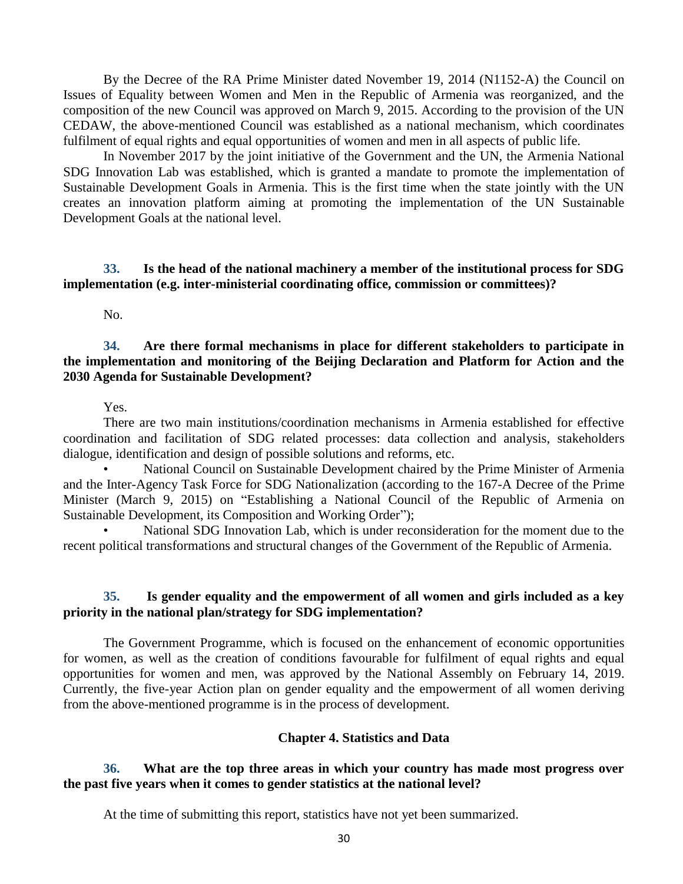By the Decree of the RA Prime Minister dated November 19, 2014 (N1152-A) the Council on Issues of Equality between Women and Men in the Republic of Armenia was reorganized, and the composition of the new Council was approved on March 9, 2015. According to the provision of the UN CEDAW, the above-mentioned Council was established as a national mechanism, which coordinates fulfilment of equal rights and equal opportunities of women and men in all aspects of public life.

In November 2017 by the joint initiative of the Government and the UN, the Armenia National SDG Innovation Lab was established, which is granted a mandate to promote the implementation of Sustainable Development Goals in Armenia. This is the first time when the state jointly with the UN creates an innovation platform aiming at promoting the implementation of the UN Sustainable Development Goals at the national level.

# **33. Is the head of the national machinery a member of the institutional process for SDG implementation (e.g. inter-ministerial coordinating office, commission or committees)?**

No.

#### **34. Are there formal mechanisms in place for different stakeholders to participate in the implementation and monitoring of the Beijing Declaration and Platform for Action and the 2030 Agenda for Sustainable Development?**

Yes.

There are two main institutions/coordination mechanisms in Armenia established for effective coordination and facilitation of SDG related processes: data collection and analysis, stakeholders dialogue, identification and design of possible solutions and reforms, etc.

• National Council on Sustainable Development chaired by the Prime Minister of Armenia and the Inter-Agency Task Force for SDG Nationalization (according to the 167-A Decree of the Prime Minister (March 9, 2015) on "Establishing a National Council of the Republic of Armenia on Sustainable Development, its Composition and Working Order");

National SDG Innovation Lab, which is under reconsideration for the moment due to the recent political transformations and structural changes of the Government of the Republic of Armenia.

# **35. Is gender equality and the empowerment of all women and girls included as a key priority in the national plan/strategy for SDG implementation?**

The Government Programme, which is focused on the enhancement of economic opportunities for women, as well as the creation of conditions favourable for fulfilment of equal rights and equal opportunities for women and men, was approved by the National Assembly on February 14, 2019. Currently, the five-year Action plan on gender equality and the empowerment of all women deriving from the above-mentioned programme is in the process of development.

### **Chapter 4. Statistics and Data**

# **36. What are the top three areas in which your country has made most progress over the past five years when it comes to gender statistics at the national level?**

At the time of submitting this report, statistics have not yet been summarized.